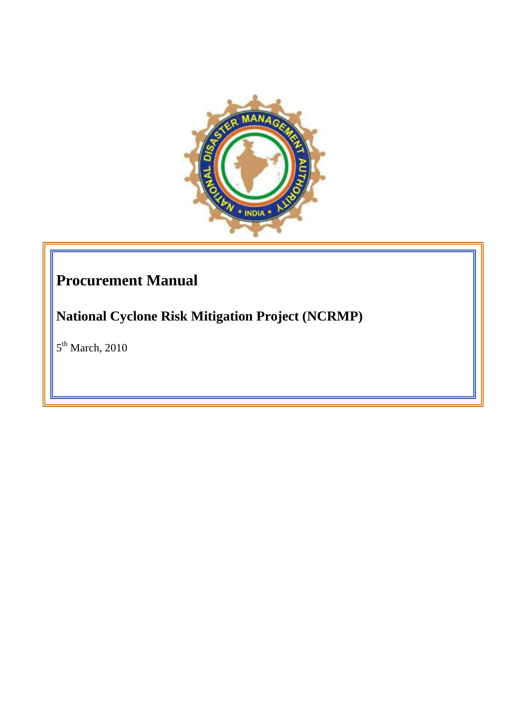

# **Procurement Manual**

**National Cyclone Risk Mitigation Project (NCRMP)**

 $5<sup>th</sup>$  March, 2010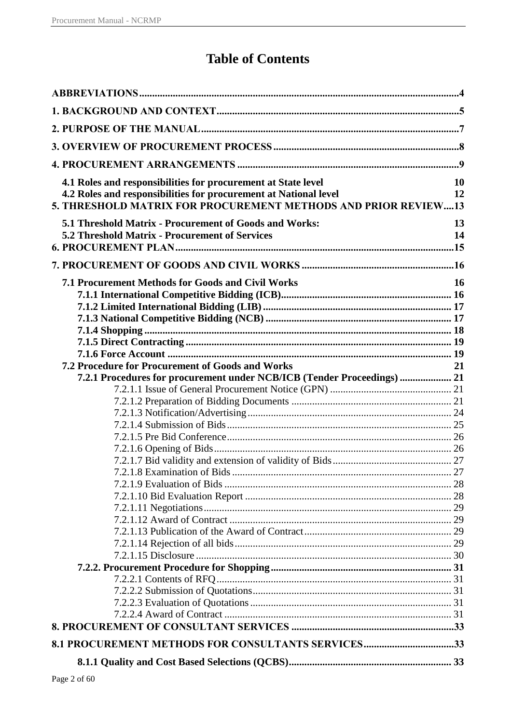# **Table of Contents**

| 8.1 PROCUREMENT METHODS FOR CONSULTANTS SERVICES33                      |           |
|-------------------------------------------------------------------------|-----------|
|                                                                         |           |
|                                                                         |           |
|                                                                         |           |
|                                                                         |           |
|                                                                         |           |
|                                                                         |           |
|                                                                         |           |
|                                                                         |           |
|                                                                         |           |
|                                                                         |           |
|                                                                         |           |
|                                                                         |           |
|                                                                         |           |
|                                                                         |           |
|                                                                         |           |
|                                                                         |           |
|                                                                         |           |
|                                                                         |           |
|                                                                         |           |
| 7.2.1 Procedures for procurement under NCB/ICB (Tender Proceedings)  21 |           |
| <b>7.2 Procedure for Procurement of Goods and Works</b>                 | 21        |
|                                                                         |           |
|                                                                         |           |
|                                                                         |           |
|                                                                         |           |
|                                                                         |           |
|                                                                         |           |
| <b>7.1 Procurement Methods for Goods and Civil Works</b>                | <b>16</b> |
|                                                                         |           |
|                                                                         |           |
| 5.2 Threshold Matrix - Procurement of Services                          | 14        |
| 5.1 Threshold Matrix - Procurement of Goods and Works:                  | 13        |
| 5. THRESHOLD MATRIX FOR PROCUREMENT METHODS AND PRIOR REVIEW13          |           |
| 4.2 Roles and responsibilities for procurement at National level        | 12        |
| 4.1 Roles and responsibilities for procurement at State level           | 10        |
|                                                                         |           |
|                                                                         |           |
|                                                                         |           |
|                                                                         |           |
|                                                                         |           |
|                                                                         |           |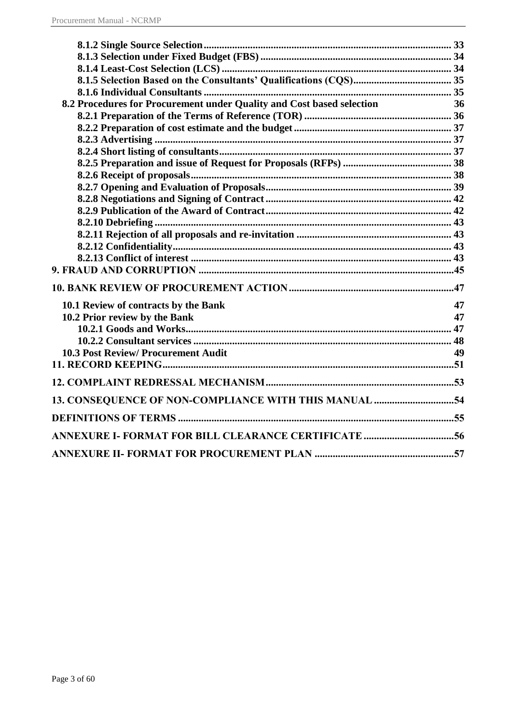| 8.2 Procedures for Procurement under Quality and Cost based selection | 36 |
|-----------------------------------------------------------------------|----|
|                                                                       |    |
|                                                                       |    |
|                                                                       |    |
|                                                                       |    |
|                                                                       |    |
|                                                                       |    |
|                                                                       |    |
|                                                                       |    |
|                                                                       |    |
|                                                                       |    |
|                                                                       |    |
|                                                                       |    |
|                                                                       |    |
|                                                                       |    |
|                                                                       |    |
| 10.1 Review of contracts by the Bank                                  | 47 |
| 10.2 Prior review by the Bank                                         | 47 |
|                                                                       |    |
|                                                                       |    |
| <b>10.3 Post Review/ Procurement Audit</b>                            | 49 |
|                                                                       |    |
|                                                                       |    |
| 13. CONSEQUENCE OF NON-COMPLIANCE WITH THIS MANUAL 54                 |    |
|                                                                       |    |
|                                                                       |    |
|                                                                       |    |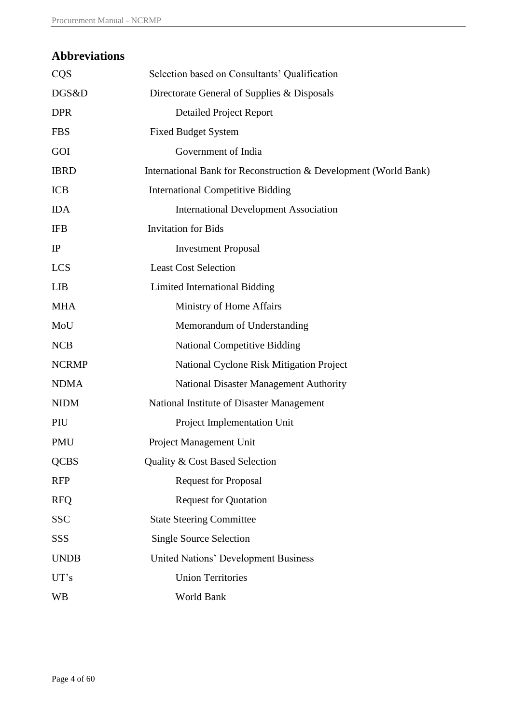# <span id="page-3-0"></span>**Abbreviations**

| <b>CQS</b>   | Selection based on Consultants' Qualification                    |
|--------------|------------------------------------------------------------------|
| DGS&D        | Directorate General of Supplies & Disposals                      |
| <b>DPR</b>   | <b>Detailed Project Report</b>                                   |
| <b>FBS</b>   | <b>Fixed Budget System</b>                                       |
| GOI          | Government of India                                              |
| <b>IBRD</b>  | International Bank for Reconstruction & Development (World Bank) |
| <b>ICB</b>   | <b>International Competitive Bidding</b>                         |
| <b>IDA</b>   | <b>International Development Association</b>                     |
| <b>IFB</b>   | <b>Invitation</b> for Bids                                       |
| IP           | <b>Investment Proposal</b>                                       |
| <b>LCS</b>   | <b>Least Cost Selection</b>                                      |
| <b>LIB</b>   | Limited International Bidding                                    |
| <b>MHA</b>   | Ministry of Home Affairs                                         |
| MoU          | Memorandum of Understanding                                      |
| <b>NCB</b>   | <b>National Competitive Bidding</b>                              |
| <b>NCRMP</b> | National Cyclone Risk Mitigation Project                         |
| <b>NDMA</b>  | <b>National Disaster Management Authority</b>                    |
| <b>NIDM</b>  | National Institute of Disaster Management                        |
| PIU          | Project Implementation Unit                                      |
| <b>PMU</b>   | Project Management Unit                                          |
| <b>QCBS</b>  | Quality & Cost Based Selection                                   |
| <b>RFP</b>   | <b>Request for Proposal</b>                                      |
| <b>RFQ</b>   | <b>Request for Quotation</b>                                     |
| <b>SSC</b>   | <b>State Steering Committee</b>                                  |
| SSS          | <b>Single Source Selection</b>                                   |
| <b>UNDB</b>  | <b>United Nations' Development Business</b>                      |
| UT's         | <b>Union Territories</b>                                         |
| <b>WB</b>    | World Bank                                                       |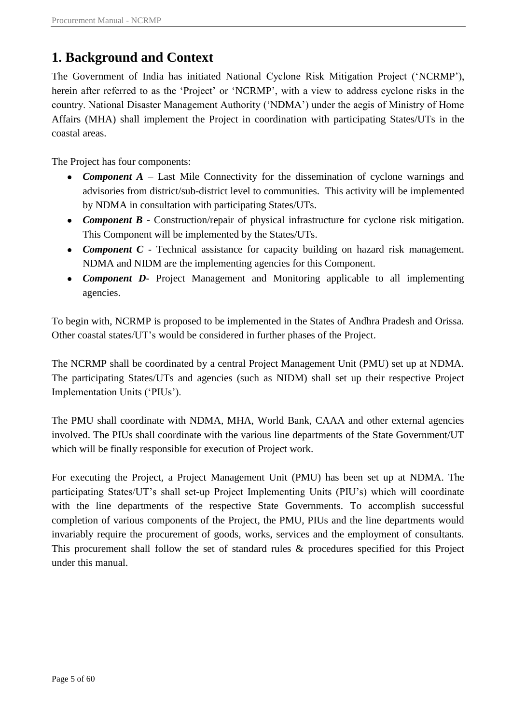# <span id="page-4-0"></span>**1. Background and Context**

The Government of India has initiated National Cyclone Risk Mitigation Project ("NCRMP"), herein after referred to as the 'Project' or 'NCRMP', with a view to address cyclone risks in the country. National Disaster Management Authority ("NDMA") under the aegis of Ministry of Home Affairs (MHA) shall implement the Project in coordination with participating States/UTs in the coastal areas.

The Project has four components:

- *Component A* Last Mile Connectivity for the dissemination of cyclone warnings and advisories from district/sub-district level to communities. This activity will be implemented by NDMA in consultation with participating States/UTs.
- *Component B* Construction/repair of physical infrastructure for cyclone risk mitigation. This Component will be implemented by the States/UTs.
- *Component C* Technical assistance for capacity building on hazard risk management. NDMA and NIDM are the implementing agencies for this Component.
- *Component D* Project Management and Monitoring applicable to all implementing agencies.

To begin with, NCRMP is proposed to be implemented in the States of Andhra Pradesh and Orissa. Other coastal states/UT"s would be considered in further phases of the Project.

The NCRMP shall be coordinated by a central Project Management Unit (PMU) set up at NDMA. The participating States/UTs and agencies (such as NIDM) shall set up their respective Project Implementation Units ("PIUs").

The PMU shall coordinate with NDMA, MHA, World Bank, CAAA and other external agencies involved. The PIUs shall coordinate with the various line departments of the State Government/UT which will be finally responsible for execution of Project work.

For executing the Project, a Project Management Unit (PMU) has been set up at NDMA. The participating States/UT"s shall set-up Project Implementing Units (PIU"s) which will coordinate with the line departments of the respective State Governments. To accomplish successful completion of various components of the Project, the PMU, PIUs and the line departments would invariably require the procurement of goods, works, services and the employment of consultants. This procurement shall follow the set of standard rules & procedures specified for this Project under this manual.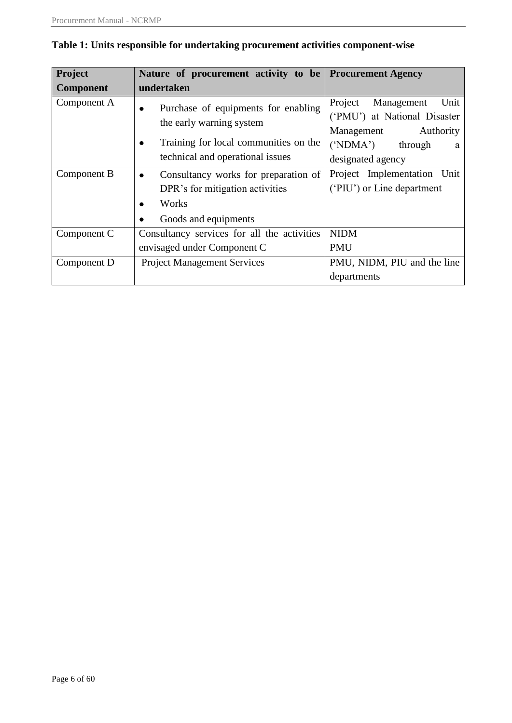| Project          | Nature of procurement activity to be Procurement Agency |                               |  |  |  |  |  |
|------------------|---------------------------------------------------------|-------------------------------|--|--|--|--|--|
| <b>Component</b> | undertaken                                              |                               |  |  |  |  |  |
| Component A      | Purchase of equipments for enabling<br>$\bullet$        | Unit<br>Project<br>Management |  |  |  |  |  |
|                  | the early warning system                                | ('PMU') at National Disaster  |  |  |  |  |  |
|                  |                                                         | Authority<br>Management       |  |  |  |  |  |
|                  | Training for local communities on the<br>$\bullet$      | ('NDMA')<br>through<br>a      |  |  |  |  |  |
|                  | technical and operational issues                        | designated agency             |  |  |  |  |  |
| Component B      | Consultancy works for preparation of<br>$\bullet$       | Project Implementation Unit   |  |  |  |  |  |
|                  | DPR's for mitigation activities                         | ('PIU') or Line department    |  |  |  |  |  |
|                  | Works<br>$\bullet$                                      |                               |  |  |  |  |  |
|                  | Goods and equipments<br>٠                               |                               |  |  |  |  |  |
| Component C      | Consultancy services for all the activities             | <b>NIDM</b>                   |  |  |  |  |  |
|                  | envisaged under Component C                             | <b>PMU</b>                    |  |  |  |  |  |
| Component D      | <b>Project Management Services</b>                      | PMU, NIDM, PIU and the line   |  |  |  |  |  |
|                  |                                                         | departments                   |  |  |  |  |  |

## **Table 1: Units responsible for undertaking procurement activities component-wise**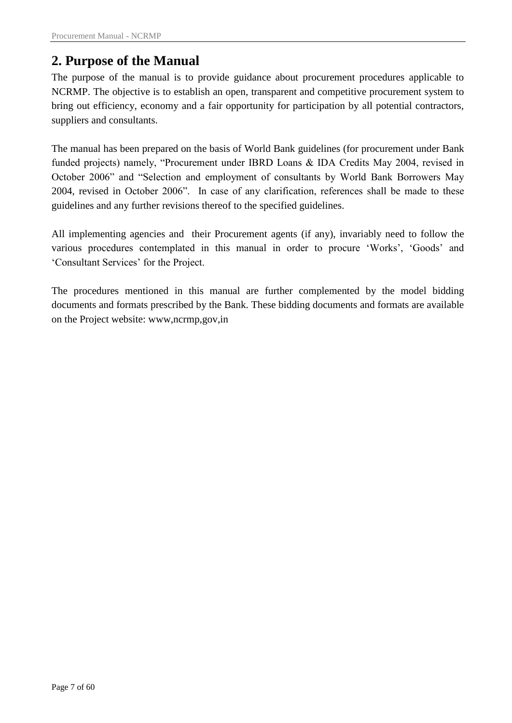# <span id="page-6-0"></span>**2. Purpose of the Manual**

The purpose of the manual is to provide guidance about procurement procedures applicable to NCRMP. The objective is to establish an open, transparent and competitive procurement system to bring out efficiency, economy and a fair opportunity for participation by all potential contractors, suppliers and consultants.

The manual has been prepared on the basis of World Bank guidelines (for procurement under Bank funded projects) namely, "Procurement under IBRD Loans & IDA Credits May 2004, revised in October 2006" and "Selection and employment of consultants by World Bank Borrowers May 2004, revised in October 2006". In case of any clarification, references shall be made to these guidelines and any further revisions thereof to the specified guidelines.

All implementing agencies and their Procurement agents (if any), invariably need to follow the various procedures contemplated in this manual in order to procure 'Works', 'Goods' and "Consultant Services" for the Project.

The procedures mentioned in this manual are further complemented by the model bidding documents and formats prescribed by the Bank. These bidding documents and formats are available on the Project website: www,ncrmp,gov,in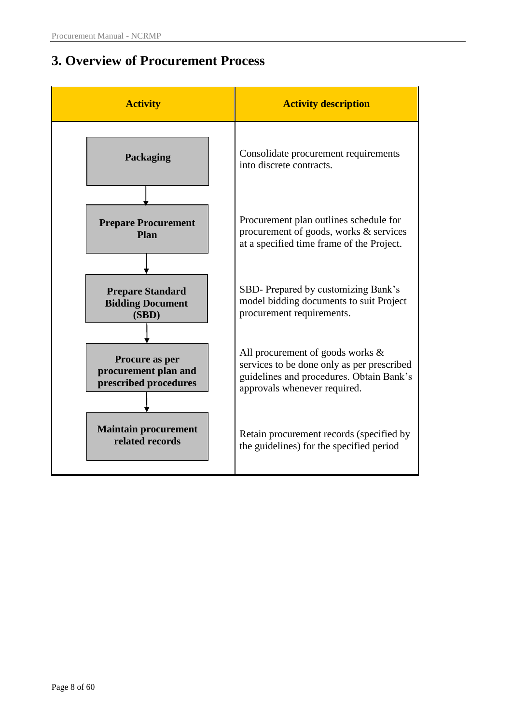# <span id="page-7-0"></span>**3. Overview of Procurement Process**

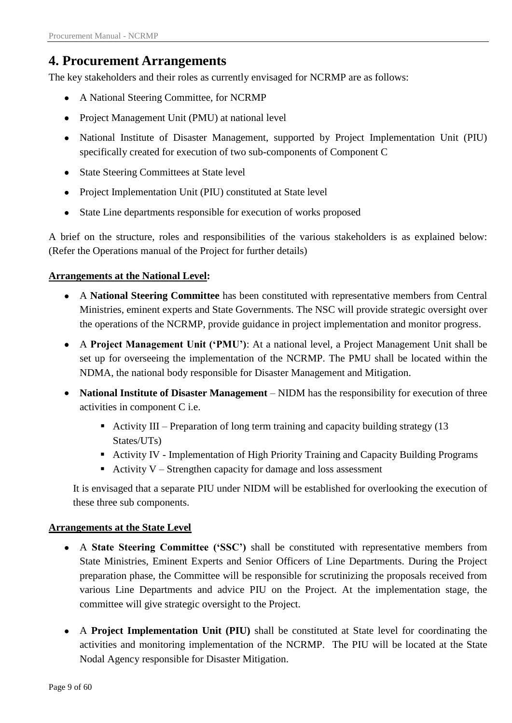# <span id="page-8-0"></span>**4. Procurement Arrangements**

The key stakeholders and their roles as currently envisaged for NCRMP are as follows:

- A National Steering Committee, for NCRMP
- Project Management Unit (PMU) at national level
- National Institute of Disaster Management, supported by Project Implementation Unit (PIU) specifically created for execution of two sub-components of Component C
- State Steering Committees at State level
- Project Implementation Unit (PIU) constituted at State level
- State Line departments responsible for execution of works proposed  $\bullet$

A brief on the structure, roles and responsibilities of the various stakeholders is as explained below: (Refer the Operations manual of the Project for further details)

### **Arrangements at the National Level:**

- A **National Steering Committee** has been constituted with representative members from Central Ministries, eminent experts and State Governments. The NSC will provide strategic oversight over the operations of the NCRMP, provide guidance in project implementation and monitor progress.
- A **Project Management Unit ("PMU")**: At a national level, a Project Management Unit shall be set up for overseeing the implementation of the NCRMP. The PMU shall be located within the NDMA, the national body responsible for Disaster Management and Mitigation.
- **National Institute of Disaster Management** NIDM has the responsibility for execution of three activities in component C i.e.
	- Activity III Preparation of long term training and capacity building strategy  $(13$ States/UTs)
	- Activity IV Implementation of High Priority Training and Capacity Building Programs
	- Activity  $V$  Strengthen capacity for damage and loss assessment

It is envisaged that a separate PIU under NIDM will be established for overlooking the execution of these three sub components.

### **Arrangements at the State Level**

- A **State Steering Committee ("SSC")** shall be constituted with representative members from State Ministries, Eminent Experts and Senior Officers of Line Departments. During the Project preparation phase, the Committee will be responsible for scrutinizing the proposals received from various Line Departments and advice PIU on the Project. At the implementation stage, the committee will give strategic oversight to the Project.
- A **Project Implementation Unit (PIU)** shall be constituted at State level for coordinating the activities and monitoring implementation of the NCRMP. The PIU will be located at the State Nodal Agency responsible for Disaster Mitigation.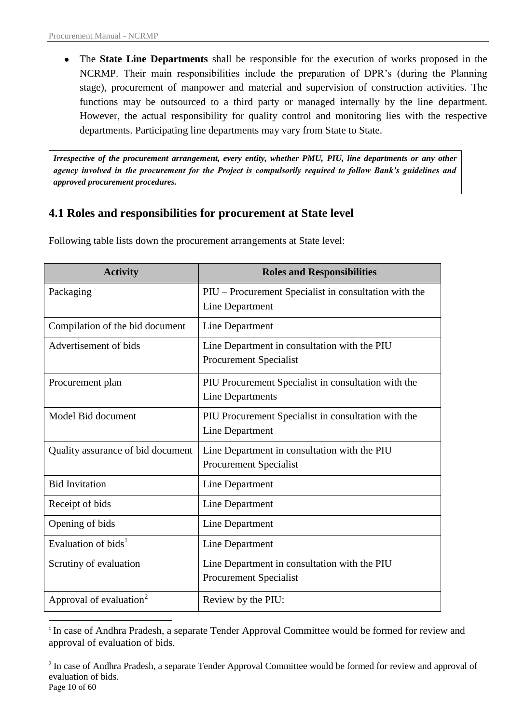1

The **State Line Departments** shall be responsible for the execution of works proposed in the  $\bullet$ NCRMP. Their main responsibilities include the preparation of DPR"s (during the Planning stage), procurement of manpower and material and supervision of construction activities. The functions may be outsourced to a third party or managed internally by the line department. However, the actual responsibility for quality control and monitoring lies with the respective departments. Participating line departments may vary from State to State.

*Irrespective of the procurement arrangement, every entity, whether PMU, PIU, line departments or any other agency involved in the procurement for the Project is compulsorily required to follow Bank's guidelines and approved procurement procedures.*

## <span id="page-9-0"></span>**4.1 Roles and responsibilities for procurement at State level**

| <b>Activity</b>                     | <b>Roles and Responsibilities</b>                                             |
|-------------------------------------|-------------------------------------------------------------------------------|
| Packaging                           | PIU – Procurement Specialist in consultation with the<br>Line Department      |
| Compilation of the bid document     | Line Department                                                               |
| Advertisement of bids               | Line Department in consultation with the PIU<br><b>Procurement Specialist</b> |
| Procurement plan                    | PIU Procurement Specialist in consultation with the<br>Line Departments       |
| Model Bid document                  | PIU Procurement Specialist in consultation with the<br>Line Department        |
| Quality assurance of bid document   | Line Department in consultation with the PIU<br><b>Procurement Specialist</b> |
| <b>Bid Invitation</b>               | Line Department                                                               |
| Receipt of bids                     | Line Department                                                               |
| Opening of bids                     | Line Department                                                               |
| Evaluation of bids <sup>1</sup>     | Line Department                                                               |
| Scrutiny of evaluation              | Line Department in consultation with the PIU<br><b>Procurement Specialist</b> |
| Approval of evaluation <sup>2</sup> | Review by the PIU:                                                            |

Following table lists down the procurement arrangements at State level:

<sup>&</sup>lt;sup>1</sup> In case of Andhra Pradesh, a separate Tender Approval Committee would be formed for review and approval of evaluation of bids.

Page 10 of 60 <sup>2</sup> In case of Andhra Pradesh, a separate Tender Approval Committee would be formed for review and approval of evaluation of bids.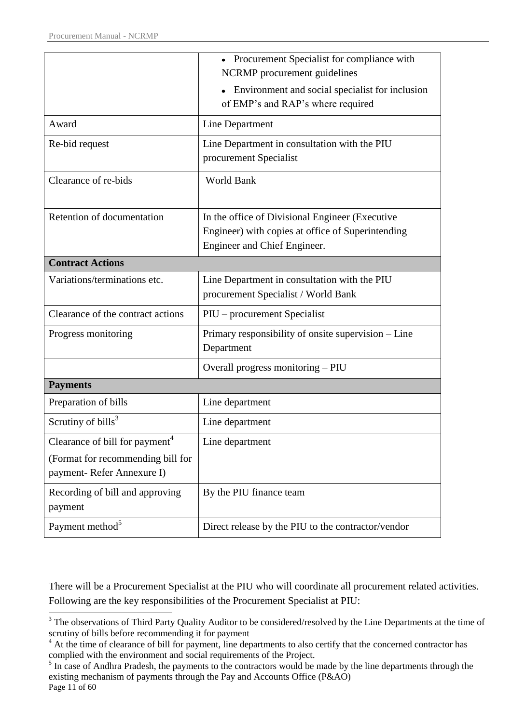|                                            | • Procurement Specialist for compliance with                                         |
|--------------------------------------------|--------------------------------------------------------------------------------------|
|                                            | NCRMP procurement guidelines                                                         |
|                                            | Environment and social specialist for inclusion<br>of EMP's and RAP's where required |
| Award                                      |                                                                                      |
|                                            | Line Department                                                                      |
| Re-bid request                             | Line Department in consultation with the PIU                                         |
|                                            | procurement Specialist                                                               |
| Clearance of re-bids                       | World Bank                                                                           |
|                                            |                                                                                      |
| Retention of documentation                 | In the office of Divisional Engineer (Executive                                      |
|                                            | Engineer) with copies at office of Superintending                                    |
|                                            | Engineer and Chief Engineer.                                                         |
| <b>Contract Actions</b>                    |                                                                                      |
| Variations/terminations etc.               | Line Department in consultation with the PIU                                         |
|                                            | procurement Specialist / World Bank                                                  |
| Clearance of the contract actions          | PIU – procurement Specialist                                                         |
| Progress monitoring                        | Primary responsibility of onsite supervision – Line                                  |
|                                            | Department                                                                           |
|                                            | Overall progress monitoring - PIU                                                    |
| <b>Payments</b>                            |                                                                                      |
| Preparation of bills                       | Line department                                                                      |
| Scrutiny of $bills3$                       | Line department                                                                      |
| Clearance of bill for payment <sup>4</sup> | Line department                                                                      |
| (Format for recommending bill for          |                                                                                      |
| payment- Refer Annexure I)                 |                                                                                      |
| Recording of bill and approving            | By the PIU finance team                                                              |
| payment                                    |                                                                                      |
| Payment method <sup>5</sup>                | Direct release by the PIU to the contractor/vendor                                   |

There will be a Procurement Specialist at the PIU who will coordinate all procurement related activities. Following are the key responsibilities of the Procurement Specialist at PIU:

**<sup>-</sup>**<sup>3</sup> The observations of Third Party Quality Auditor to be considered/resolved by the Line Departments at the time of scrutiny of bills before recommending it for payment

<sup>&</sup>lt;sup>4</sup> At the time of clearance of bill for payment, line departments to also certify that the concerned contractor has complied with the environment and social requirements of the Project.

Page 11 of 60 <sup>5</sup> In case of Andhra Pradesh, the payments to the contractors would be made by the line departments through the existing mechanism of payments through the Pay and Accounts Office (P&AO)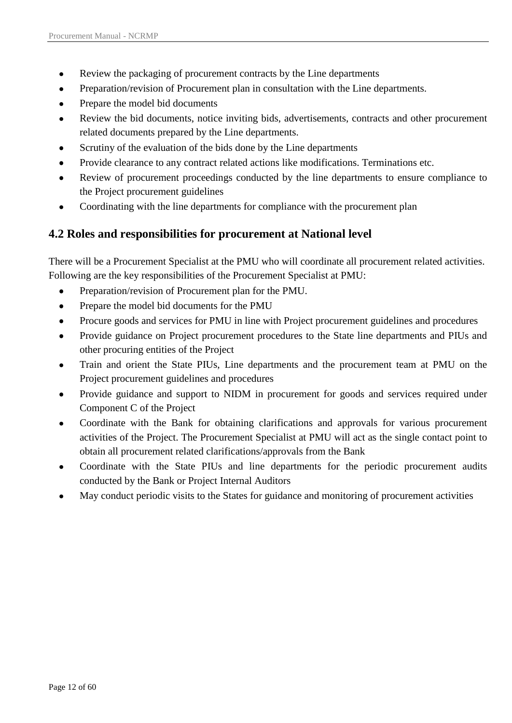- Review the packaging of procurement contracts by the Line departments  $\bullet$
- Preparation/revision of Procurement plan in consultation with the Line departments.
- Prepare the model bid documents
- Review the bid documents, notice inviting bids, advertisements, contracts and other procurement related documents prepared by the Line departments.
- Scrutiny of the evaluation of the bids done by the Line departments
- Provide clearance to any contract related actions like modifications. Terminations etc.
- Review of procurement proceedings conducted by the line departments to ensure compliance to the Project procurement guidelines
- Coordinating with the line departments for compliance with the procurement plan

## <span id="page-11-0"></span>**4.2 Roles and responsibilities for procurement at National level**

There will be a Procurement Specialist at the PMU who will coordinate all procurement related activities. Following are the key responsibilities of the Procurement Specialist at PMU:

- $\bullet$ Preparation/revision of Procurement plan for the PMU.
- Prepare the model bid documents for the PMU  $\bullet$
- Procure goods and services for PMU in line with Project procurement guidelines and procedures
- Provide guidance on Project procurement procedures to the State line departments and PIUs and  $\bullet$ other procuring entities of the Project
- Train and orient the State PIUs, Line departments and the procurement team at PMU on the  $\bullet$ Project procurement guidelines and procedures
- Provide guidance and support to NIDM in procurement for goods and services required under Component C of the Project
- Coordinate with the Bank for obtaining clarifications and approvals for various procurement activities of the Project. The Procurement Specialist at PMU will act as the single contact point to obtain all procurement related clarifications/approvals from the Bank
- Coordinate with the State PIUs and line departments for the periodic procurement audits  $\bullet$ conducted by the Bank or Project Internal Auditors
- May conduct periodic visits to the States for guidance and monitoring of procurement activities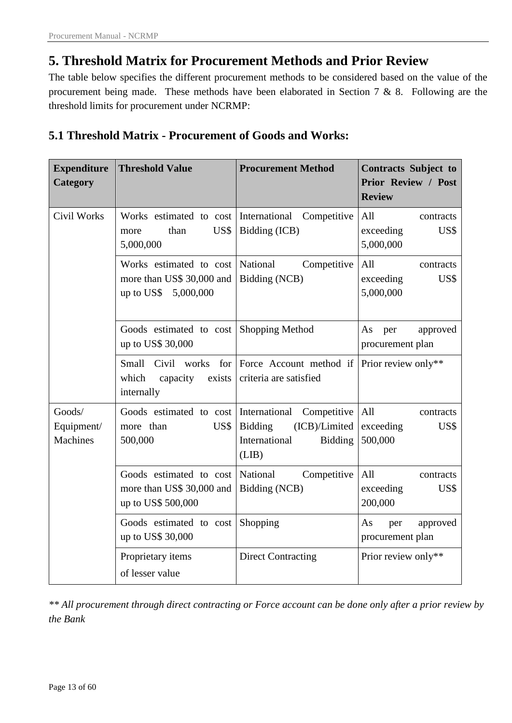# <span id="page-12-0"></span>**5. Threshold Matrix for Procurement Methods and Prior Review**

The table below specifies the different procurement methods to be considered based on the value of the procurement being made. These methods have been elaborated in Section 7 & 8. Following are the threshold limits for procurement under NCRMP:

# <span id="page-12-1"></span>**5.1 Threshold Matrix - Procurement of Goods and Works:**

| <b>Expenditure</b><br>Category          | <b>Threshold Value</b>                                                       | <b>Procurement Method</b>                                                           | <b>Contracts Subject to</b><br><b>Prior Review / Post</b><br><b>Review</b> |  |  |  |  |
|-----------------------------------------|------------------------------------------------------------------------------|-------------------------------------------------------------------------------------|----------------------------------------------------------------------------|--|--|--|--|
| <b>Civil Works</b>                      | Works estimated to cost<br>US\$<br>than<br>more<br>5,000,000                 | International Competitive<br>Bidding (ICB)                                          | All<br>contracts<br>exceeding<br>US\$<br>5,000,000                         |  |  |  |  |
|                                         | Works estimated to cost<br>more than US\$ 30,000 and<br>up to US\$ 5,000,000 | National<br>Competitive<br>Bidding (NCB)                                            | All<br>contracts<br>exceeding<br>US\$<br>5,000,000                         |  |  |  |  |
|                                         | Goods estimated to cost<br>up to US\$ 30,000                                 | Shopping Method                                                                     | As<br>approved<br>per<br>procurement plan                                  |  |  |  |  |
|                                         | Small<br>Civil<br>works<br>for<br>which<br>capacity<br>exists<br>internally  | Force Account method if<br>criteria are satisfied                                   | Prior review only**                                                        |  |  |  |  |
| Goods/<br>Equipment/<br><b>Machines</b> | Goods estimated to cost International<br>more than<br>US\$<br>500,000        | Competitive<br>(ICB)/Limited<br><b>Bidding</b><br>International<br>Bidding<br>(LIB) | All<br>contracts<br>exceeding<br>US\$<br>500,000                           |  |  |  |  |
|                                         | Goods estimated to cost<br>more than US\$ 30,000 and<br>up to US\$ 500,000   | National<br>Competitive<br>Bidding (NCB)                                            | All<br>contracts<br>exceeding<br>US\$<br>200,000                           |  |  |  |  |
|                                         | Goods estimated to cost<br>up to US\$ 30,000                                 | Shopping                                                                            | As<br>approved<br>per<br>procurement plan                                  |  |  |  |  |
|                                         | Proprietary items<br>of lesser value                                         | <b>Direct Contracting</b>                                                           | Prior review only**                                                        |  |  |  |  |

*\*\* All procurement through direct contracting or Force account can be done only after a prior review by the Bank*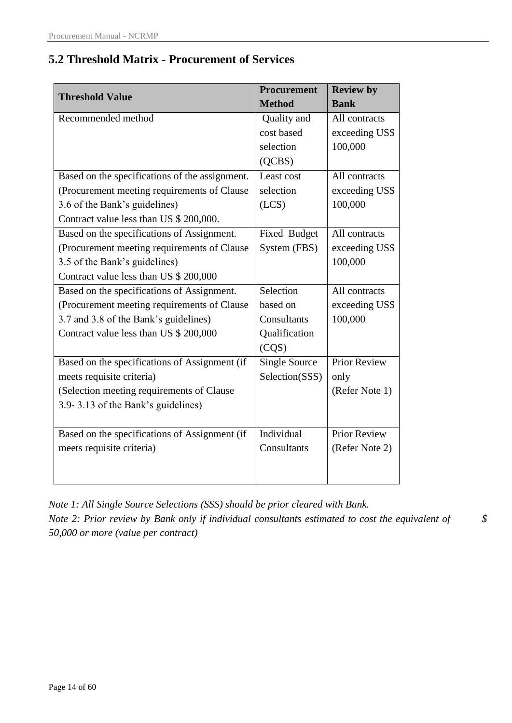# <span id="page-13-0"></span>**5.2 Threshold Matrix - Procurement of Services**

| <b>Threshold Value</b>                         | <b>Procurement</b> | <b>Review by</b>    |
|------------------------------------------------|--------------------|---------------------|
|                                                | <b>Method</b>      | <b>Bank</b>         |
| Recommended method                             | Quality and        | All contracts       |
|                                                | cost based         | exceeding US\$      |
|                                                | selection          | 100,000             |
|                                                | (QCBS)             |                     |
| Based on the specifications of the assignment. | Least cost         | All contracts       |
| (Procurement meeting requirements of Clause    | selection          | exceeding US\$      |
| 3.6 of the Bank's guidelines)                  | (LCS)              | 100,000             |
| Contract value less than US \$ 200,000.        |                    |                     |
| Based on the specifications of Assignment.     | Fixed Budget       | All contracts       |
| (Procurement meeting requirements of Clause    | System (FBS)       | exceeding US\$      |
| 3.5 of the Bank's guidelines)                  |                    | 100,000             |
| Contract value less than US \$ 200,000         |                    |                     |
| Based on the specifications of Assignment.     | Selection          | All contracts       |
| (Procurement meeting requirements of Clause    | based on           | exceeding US\$      |
| 3.7 and 3.8 of the Bank's guidelines)          | Consultants        | 100,000             |
| Contract value less than US \$ 200,000         | Qualification      |                     |
|                                                | (CQS)              |                     |
| Based on the specifications of Assignment (if  | Single Source      | <b>Prior Review</b> |
| meets requisite criteria)                      | Selection(SSS)     | only                |
| (Selection meeting requirements of Clause      |                    | (Refer Note 1)      |
| 3.9-3.13 of the Bank's guidelines)             |                    |                     |
|                                                |                    |                     |
| Based on the specifications of Assignment (if  | Individual         | <b>Prior Review</b> |
| meets requisite criteria)                      | Consultants        | (Refer Note 2)      |
|                                                |                    |                     |
|                                                |                    |                     |

*Note 1: All Single Source Selections (SSS) should be prior cleared with Bank. Note 2: Prior review by Bank only if individual consultants estimated to cost the equivalent of \$ 50,000 or more (value per contract)*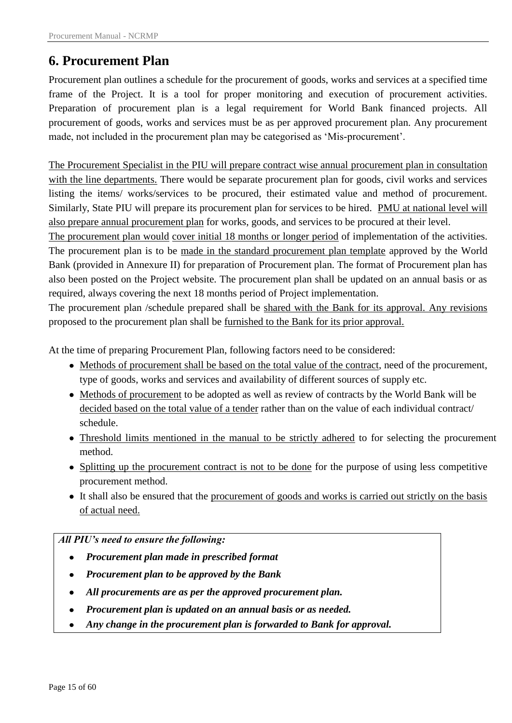# <span id="page-14-0"></span>**6. Procurement Plan**

Procurement plan outlines a schedule for the procurement of goods, works and services at a specified time frame of the Project. It is a tool for proper monitoring and execution of procurement activities. Preparation of procurement plan is a legal requirement for World Bank financed projects. All procurement of goods, works and services must be as per approved procurement plan. Any procurement made, not included in the procurement plan may be categorised as "Mis-procurement".

The Procurement Specialist in the PIU will prepare contract wise annual procurement plan in consultation with the line departments. There would be separate procurement plan for goods, civil works and services listing the items/ works/services to be procured, their estimated value and method of procurement. Similarly, State PIU will prepare its procurement plan for services to be hired. PMU at national level will also prepare annual procurement plan for works, goods, and services to be procured at their level.

The procurement plan would cover initial 18 months or longer period of implementation of the activities. The procurement plan is to be made in the standard procurement plan template approved by the World Bank (provided in Annexure II) for preparation of Procurement plan. The format of Procurement plan has also been posted on the Project website. The procurement plan shall be updated on an annual basis or as required, always covering the next 18 months period of Project implementation.

The procurement plan /schedule prepared shall be shared with the Bank for its approval. Any revisions proposed to the procurement plan shall be furnished to the Bank for its prior approval.

At the time of preparing Procurement Plan, following factors need to be considered:

- Methods of procurement shall be based on the total value of the contract, need of the procurement, type of goods, works and services and availability of different sources of supply etc.
- Methods of procurement to be adopted as well as review of contracts by the World Bank will be decided based on the total value of a tender rather than on the value of each individual contract/ schedule.
- Threshold limits mentioned in the manual to be strictly adhered to for selecting the procurement method.
- Splitting up the procurement contract is not to be done for the purpose of using less competitive procurement method.
- It shall also be ensured that the procurement of goods and works is carried out strictly on the basis of actual need.

### *All PIU's need to ensure the following:*

- *Procurement plan made in prescribed format*  $\bullet$
- *Procurement plan to be approved by the Bank*
- *All procurements are as per the approved procurement plan.*
- *Procurement plan is updated on an annual basis or as needed.*
- *Any change in the procurement plan is forwarded to Bank for approval.*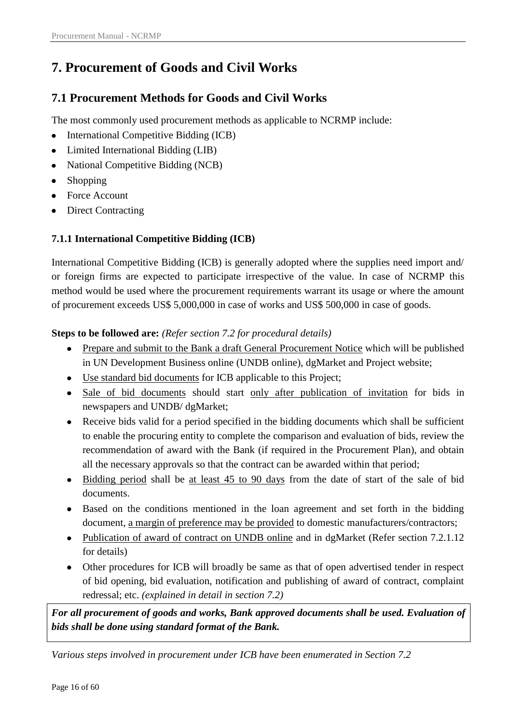# <span id="page-15-0"></span>**7. Procurement of Goods and Civil Works**

# <span id="page-15-1"></span>**7.1 Procurement Methods for Goods and Civil Works**

The most commonly used procurement methods as applicable to NCRMP include:

- International Competitive Bidding (ICB)
- Limited International Bidding (LIB)
- National Competitive Bidding (NCB)
- Shopping
- Force Account
- Direct Contracting

### <span id="page-15-2"></span>**7.1.1 International Competitive Bidding (ICB)**

International Competitive Bidding (ICB) is generally adopted where the supplies need import and/ or foreign firms are expected to participate irrespective of the value. In case of NCRMP this method would be used where the procurement requirements warrant its usage or where the amount of procurement exceeds US\$ 5,000,000 in case of works and US\$ 500,000 in case of goods.

### **Steps to be followed are:** *(Refer section 7.2 for procedural details)*

- Prepare and submit to the Bank a draft General Procurement Notice which will be published in UN Development Business online (UNDB online), dgMarket and Project website;
- Use standard bid documents for ICB applicable to this Project;
- Sale of bid documents should start only after publication of invitation for bids in newspapers and UNDB/ dgMarket;
- Receive bids valid for a period specified in the bidding documents which shall be sufficient to enable the procuring entity to complete the comparison and evaluation of bids, review the recommendation of award with the Bank (if required in the Procurement Plan), and obtain all the necessary approvals so that the contract can be awarded within that period;
- Bidding period shall be at least 45 to 90 days from the date of start of the sale of bid documents.
- Based on the conditions mentioned in the loan agreement and set forth in the bidding document, a margin of preference may be provided to domestic manufacturers/contractors;
- Publication of award of contract on UNDB online and in dgMarket (Refer section 7.2.1.12) for details)
- Other procedures for ICB will broadly be same as that of open advertised tender in respect of bid opening, bid evaluation, notification and publishing of award of contract, complaint redressal; etc. *(explained in detail in section 7.2)*

*For all procurement of goods and works, Bank approved documents shall be used. Evaluation of bids shall be done using standard format of the Bank.* 

*Various steps involved in procurement under ICB have been enumerated in Section 7.2*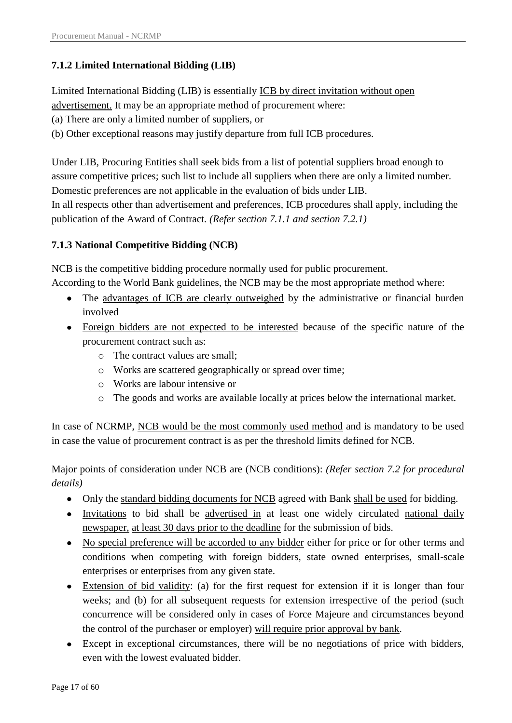### <span id="page-16-0"></span>**7.1.2 Limited International Bidding (LIB)**

Limited International Bidding (LIB) is essentially ICB by direct invitation without open

advertisement. It may be an appropriate method of procurement where:

(a) There are only a limited number of suppliers, or

(b) Other exceptional reasons may justify departure from full ICB procedures.

Under LIB, Procuring Entities shall seek bids from a list of potential suppliers broad enough to assure competitive prices; such list to include all suppliers when there are only a limited number. Domestic preferences are not applicable in the evaluation of bids under LIB. In all respects other than advertisement and preferences, ICB procedures shall apply, including the publication of the Award of Contract*. (Refer section 7.1.1 and section 7.2.1)*

## <span id="page-16-1"></span>**7.1.3 National Competitive Bidding (NCB)**

NCB is the competitive bidding procedure normally used for public procurement.

According to the World Bank guidelines, the NCB may be the most appropriate method where:

- The advantages of ICB are clearly outweighed by the administrative or financial burden involved
- Foreign bidders are not expected to be interested because of the specific nature of the procurement contract such as:
	- o The contract values are small;
	- o Works are scattered geographically or spread over time;
	- o Works are labour intensive or
	- o The goods and works are available locally at prices below the international market.

In case of NCRMP, NCB would be the most commonly used method and is mandatory to be used in case the value of procurement contract is as per the threshold limits defined for NCB.

Major points of consideration under NCB are (NCB conditions): *(Refer section 7.2 for procedural details)*

- Only the standard bidding documents for NCB agreed with Bank shall be used for bidding.
- Invitations to bid shall be advertised in at least one widely circulated national daily newspaper, at least 30 days prior to the deadline for the submission of bids.
- No special preference will be accorded to any bidder either for price or for other terms and conditions when competing with foreign bidders, state owned enterprises, small-scale enterprises or enterprises from any given state.
- Extension of bid validity: (a) for the first request for extension if it is longer than four weeks; and (b) for all subsequent requests for extension irrespective of the period (such concurrence will be considered only in cases of Force Majeure and circumstances beyond the control of the purchaser or employer) will require prior approval by bank.
- Except in exceptional circumstances, there will be no negotiations of price with bidders, even with the lowest evaluated bidder.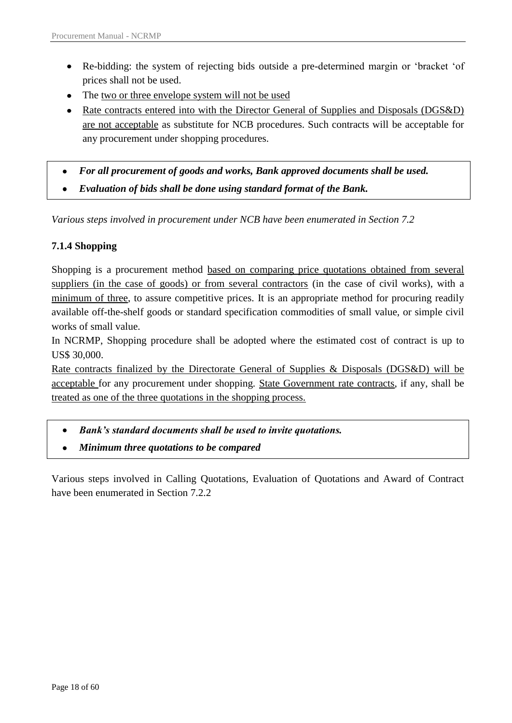- Re-bidding: the system of rejecting bids outside a pre-determined margin or "bracket "of prices shall not be used.
- The two or three envelope system will not be used
- Rate contracts entered into with the Director General of Supplies and Disposals (DGS&D) are not acceptable as substitute for NCB procedures. Such contracts will be acceptable for any procurement under shopping procedures.
- *For all procurement of goods and works, Bank approved documents shall be used.*   $\bullet$
- *Evaluation of bids shall be done using standard format of the Bank.*   $\bullet$

*Various steps involved in procurement under NCB have been enumerated in Section 7.2*

### <span id="page-17-0"></span>**7.1.4 Shopping**

Shopping is a procurement method based on comparing price quotations obtained from several suppliers (in the case of goods) or from several contractors (in the case of civil works), with a minimum of three, to assure competitive prices. It is an appropriate method for procuring readily available off-the-shelf goods or standard specification commodities of small value, or simple civil works of small value.

In NCRMP, Shopping procedure shall be adopted where the estimated cost of contract is up to US\$ 30,000.

Rate contracts finalized by the Directorate General of Supplies & Disposals (DGS&D) will be acceptable for any procurement under shopping. State Government rate contracts, if any, shall be treated as one of the three quotations in the shopping process.

- *Bank's standard documents shall be used to invite quotations.*
- *Minimum three quotations to be compared*  $\bullet$

Various steps involved in Calling Quotations, Evaluation of Quotations and Award of Contract have been enumerated in Section 7.2.2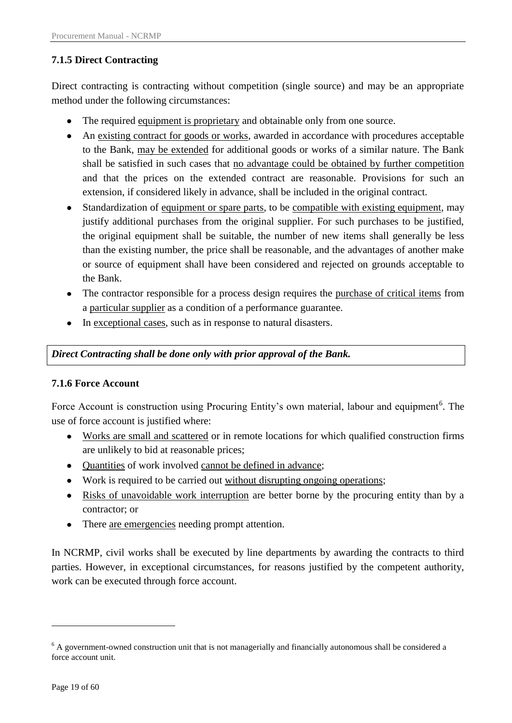### <span id="page-18-0"></span>**7.1.5 Direct Contracting**

Direct contracting is contracting without competition (single source) and may be an appropriate method under the following circumstances:

- The required equipment is proprietary and obtainable only from one source.
- An existing contract for goods or works, awarded in accordance with procedures acceptable to the Bank, may be extended for additional goods or works of a similar nature. The Bank shall be satisfied in such cases that no advantage could be obtained by further competition and that the prices on the extended contract are reasonable. Provisions for such an extension, if considered likely in advance, shall be included in the original contract.
- Standardization of equipment or spare parts, to be compatible with existing equipment, may justify additional purchases from the original supplier. For such purchases to be justified, the original equipment shall be suitable, the number of new items shall generally be less than the existing number, the price shall be reasonable, and the advantages of another make or source of equipment shall have been considered and rejected on grounds acceptable to the Bank.
- The contractor responsible for a process design requires the purchase of critical items from a particular supplier as a condition of a performance guarantee.
- In exceptional cases, such as in response to natural disasters.

### *Direct Contracting shall be done only with prior approval of the Bank.*

#### <span id="page-18-1"></span>**7.1.6 Force Account**

Force Account is construction using Procuring Entity's own material, labour and equipment<sup>6</sup>. The use of force account is justified where:

- Works are small and scattered or in remote locations for which qualified construction firms are unlikely to bid at reasonable prices;
- Quantities of work involved cannot be defined in advance;
- Work is required to be carried out without disrupting ongoing operations;
- Risks of unavoidable work interruption are better borne by the procuring entity than by a contractor; or
- There <u>are emergencies</u> needing prompt attention.

In NCRMP, civil works shall be executed by line departments by awarding the contracts to third parties. However, in exceptional circumstances, for reasons justified by the competent authority, work can be executed through force account.

1

<sup>&</sup>lt;sup>6</sup> A government-owned construction unit that is not managerially and financially autonomous shall be considered a force account unit.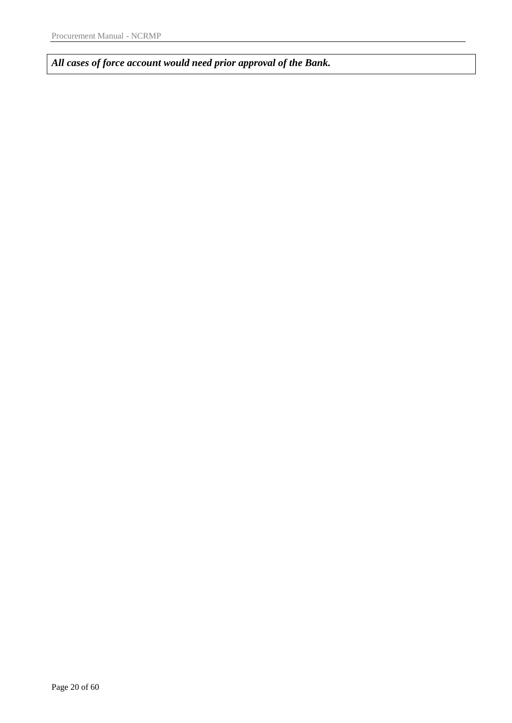*All cases of force account would need prior approval of the Bank.*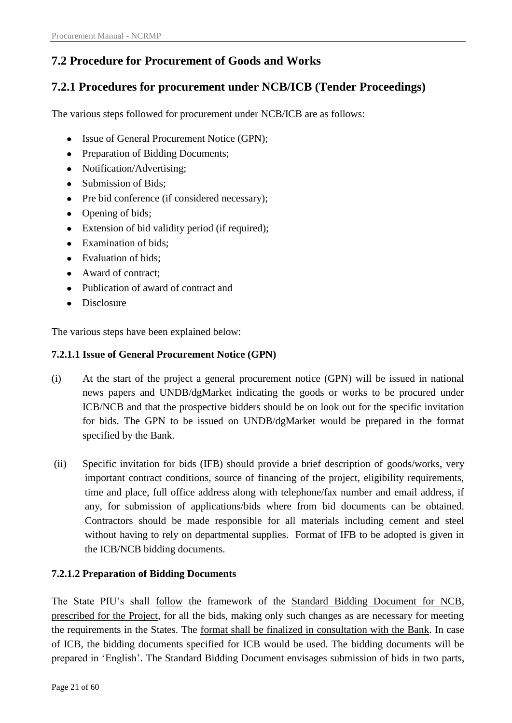# <span id="page-20-0"></span>**7.2 Procedure for Procurement of Goods and Works**

# <span id="page-20-1"></span>**7.2.1 Procedures for procurement under NCB/ICB (Tender Proceedings)**

The various steps followed for procurement under NCB/ICB are as follows:

- Issue of General Procurement Notice (GPN);
- Preparation of Bidding Documents;
- Notification/Advertising;  $\bullet$
- Submission of Bids;
- Pre bid conference (if considered necessary);  $\bullet$
- Opening of bids;
- Extension of bid validity period (if required);  $\bullet$
- Examination of bids;
- Evaluation of bids;
- Award of contract;
- Publication of award of contract and
- Disclosure

The various steps have been explained below:

### <span id="page-20-2"></span>**7.2.1.1 Issue of General Procurement Notice (GPN)**

- (i) At the start of the project a general procurement notice (GPN) will be issued in national news papers and UNDB/dgMarket indicating the goods or works to be procured under ICB/NCB and that the prospective bidders should be on look out for the specific invitation for bids. The GPN to be issued on UNDB/dgMarket would be prepared in the format specified by the Bank.
- (ii) Specific invitation for bids (IFB) should provide a brief description of goods/works, very important contract conditions, source of financing of the project, eligibility requirements, time and place, full office address along with telephone/fax number and email address, if any, for submission of applications/bids where from bid documents can be obtained. Contractors should be made responsible for all materials including cement and steel without having to rely on departmental supplies. Format of IFB to be adopted is given in the ICB/NCB bidding documents.

### <span id="page-20-3"></span>**7.2.1.2 Preparation of Bidding Documents**

The State PIU"s shall follow the framework of the Standard Bidding Document for NCB, prescribed for the Project, for all the bids, making only such changes as are necessary for meeting the requirements in the States. The format shall be finalized in consultation with the Bank. In case of ICB, the bidding documents specified for ICB would be used. The bidding documents will be prepared in 'English'. The Standard Bidding Document envisages submission of bids in two parts,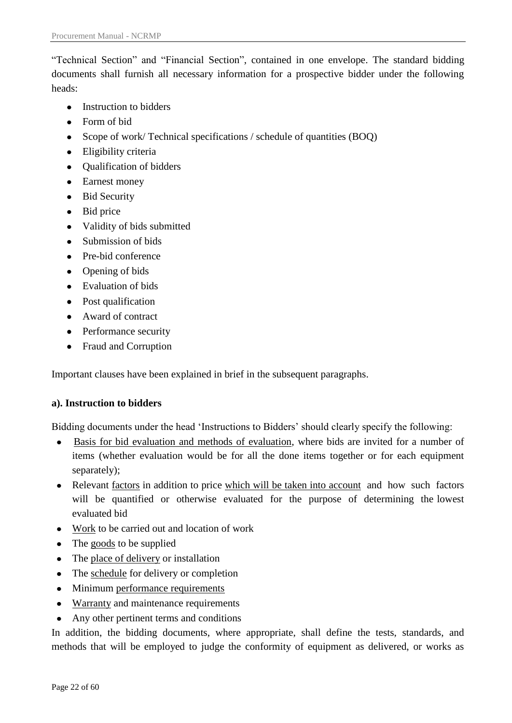"Technical Section" and "Financial Section", contained in one envelope. The standard bidding documents shall furnish all necessary information for a prospective bidder under the following heads:

- Instruction to bidders
- Form of bid
- Scope of work/ Technical specifications / schedule of quantities (BOQ)  $\bullet$
- Eligibility criteria  $\bullet$
- Qualification of bidders  $\bullet$
- Earnest money
- Bid Security
- Bid price
- Validity of bids submitted
- Submission of bids
- Pre-bid conference  $\bullet$
- Opening of bids
- Evaluation of bids
- Post qualification
- Award of contract
- Performance security
- Fraud and Corruption

Important clauses have been explained in brief in the subsequent paragraphs.

### **a). Instruction to bidders**

Bidding documents under the head "Instructions to Bidders" should clearly specify the following:

- Basis for bid evaluation and methods of evaluation, where bids are invited for a number of  $\bullet$ items (whether evaluation would be for all the done items together or for each equipment separately);
- Relevant factors in addition to price which will be taken into account and how such factors will be quantified or otherwise evaluated for the purpose of determining the lowest evaluated bid
- Work to be carried out and location of work
- The goods to be supplied
- The place of delivery or installation
- The schedule for delivery or completion
- Minimum performance requirements
- Warranty and maintenance requirements  $\bullet$
- Any other pertinent terms and conditions  $\bullet$

In addition, the bidding documents, where appropriate, shall define the tests, standards, and methods that will be employed to judge the conformity of equipment as delivered, or works as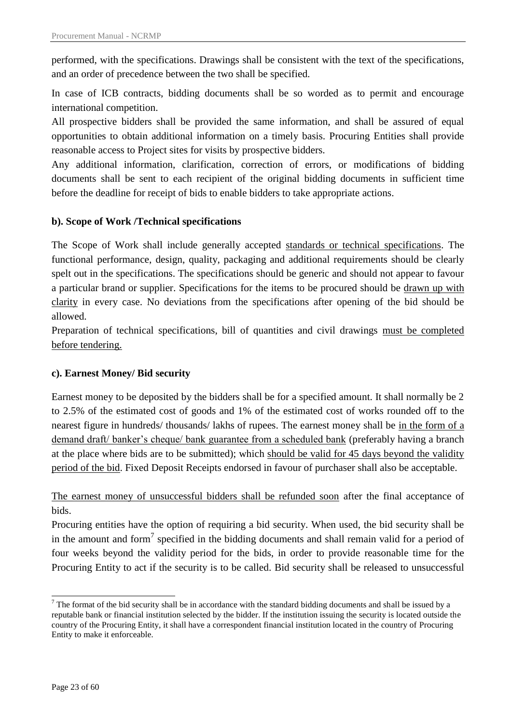performed, with the specifications. Drawings shall be consistent with the text of the specifications, and an order of precedence between the two shall be specified.

In case of ICB contracts, bidding documents shall be so worded as to permit and encourage international competition.

All prospective bidders shall be provided the same information, and shall be assured of equal opportunities to obtain additional information on a timely basis. Procuring Entities shall provide reasonable access to Project sites for visits by prospective bidders.

Any additional information, clarification, correction of errors, or modifications of bidding documents shall be sent to each recipient of the original bidding documents in sufficient time before the deadline for receipt of bids to enable bidders to take appropriate actions.

### **b). Scope of Work /Technical specifications**

The Scope of Work shall include generally accepted standards or technical specifications. The functional performance, design, quality, packaging and additional requirements should be clearly spelt out in the specifications. The specifications should be generic and should not appear to favour a particular brand or supplier. Specifications for the items to be procured should be drawn up with clarity in every case. No deviations from the specifications after opening of the bid should be allowed.

Preparation of technical specifications, bill of quantities and civil drawings must be completed before tendering.

### **c). Earnest Money/ Bid security**

Earnest money to be deposited by the bidders shall be for a specified amount. It shall normally be 2 to 2.5% of the estimated cost of goods and 1% of the estimated cost of works rounded off to the nearest figure in hundreds/ thousands/ lakhs of rupees. The earnest money shall be in the form of a demand draft/ banker's cheque/ bank guarantee from a scheduled bank (preferably having a branch at the place where bids are to be submitted); which should be valid for 45 days beyond the validity period of the bid. Fixed Deposit Receipts endorsed in favour of purchaser shall also be acceptable.

The earnest money of unsuccessful bidders shall be refunded soon after the final acceptance of bids.

Procuring entities have the option of requiring a bid security. When used, the bid security shall be in the amount and form<sup>7</sup> specified in the bidding documents and shall remain valid for a period of four weeks beyond the validity period for the bids, in order to provide reasonable time for the Procuring Entity to act if the security is to be called. Bid security shall be released to unsuccessful

**<sup>-</sup>** $<sup>7</sup>$  The format of the bid security shall be in accordance with the standard bidding documents and shall be issued by a</sup> reputable bank or financial institution selected by the bidder. If the institution issuing the security is located outside the country of the Procuring Entity, it shall have a correspondent financial institution located in the country of Procuring Entity to make it enforceable.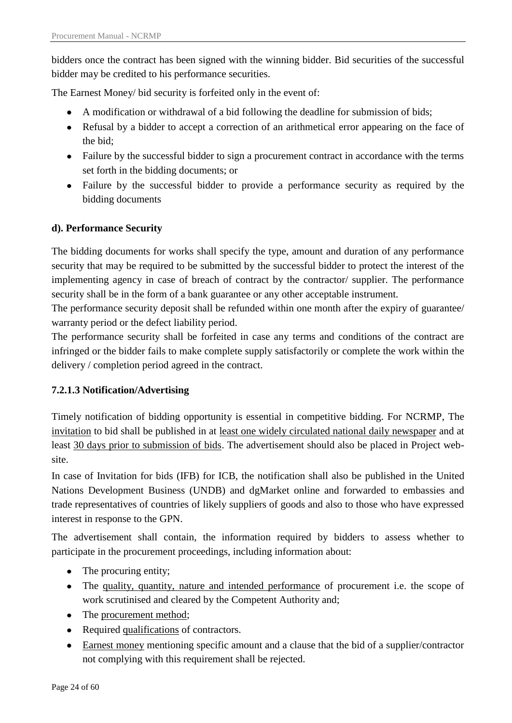bidders once the contract has been signed with the winning bidder. Bid securities of the successful bidder may be credited to his performance securities.

The Earnest Money/ bid security is forfeited only in the event of:

- A modification or withdrawal of a bid following the deadline for submission of bids;
- Refusal by a bidder to accept a correction of an arithmetical error appearing on the face of the bid;
- Failure by the successful bidder to sign a procurement contract in accordance with the terms set forth in the bidding documents; or
- Failure by the successful bidder to provide a performance security as required by the bidding documents

### **d). Performance Security**

The bidding documents for works shall specify the type, amount and duration of any performance security that may be required to be submitted by the successful bidder to protect the interest of the implementing agency in case of breach of contract by the contractor/ supplier. The performance security shall be in the form of a bank guarantee or any other acceptable instrument.

The performance security deposit shall be refunded within one month after the expiry of guarantee/ warranty period or the defect liability period.

The performance security shall be forfeited in case any terms and conditions of the contract are infringed or the bidder fails to make complete supply satisfactorily or complete the work within the delivery / completion period agreed in the contract.

### <span id="page-23-0"></span>**7.2.1.3 Notification/Advertising**

Timely notification of bidding opportunity is essential in competitive bidding. For NCRMP, The invitation to bid shall be published in at least one widely circulated national daily newspaper and at least 30 days prior to submission of bids. The advertisement should also be placed in Project website.

In case of Invitation for bids (IFB) for ICB, the notification shall also be published in the United Nations Development Business (UNDB) and dgMarket online and forwarded to embassies and trade representatives of countries of likely suppliers of goods and also to those who have expressed interest in response to the GPN.

The advertisement shall contain, the information required by bidders to assess whether to participate in the procurement proceedings, including information about:

- The procuring entity;
- The quality, quantity, nature and intended performance of procurement i.e. the scope of work scrutinised and cleared by the Competent Authority and;
- The procurement method;
- Required qualifications of contractors.
- Earnest money mentioning specific amount and a clause that the bid of a supplier/contractor not complying with this requirement shall be rejected.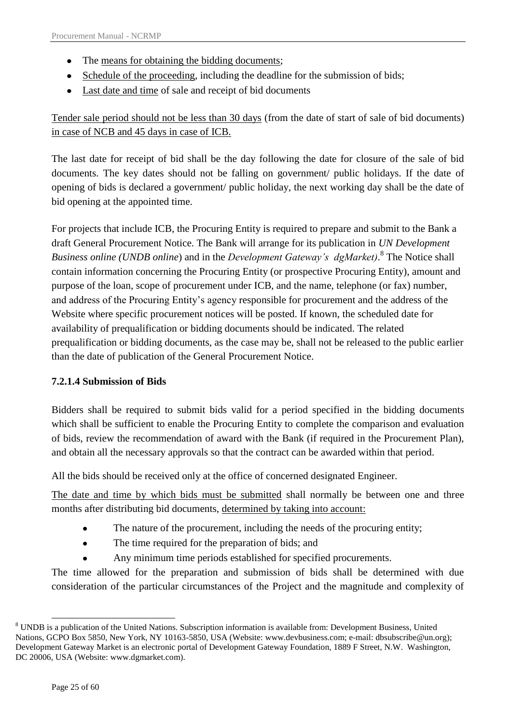- The <u>means for obtaining the bidding documents</u>;
- Schedule of the proceeding, including the deadline for the submission of bids;
- Last date and time of sale and receipt of bid documents

Tender sale period should not be less than 30 days (from the date of start of sale of bid documents) in case of NCB and 45 days in case of ICB.

The last date for receipt of bid shall be the day following the date for closure of the sale of bid documents. The key dates should not be falling on government/ public holidays. If the date of opening of bids is declared a government/ public holiday, the next working day shall be the date of bid opening at the appointed time.

For projects that include ICB, the Procuring Entity is required to prepare and submit to the Bank a draft General Procurement Notice. The Bank will arrange for its publication in *UN Development Business online (UNDB online*) and in the *Development Gateway's dgMarket)*. 8 The Notice shall contain information concerning the Procuring Entity (or prospective Procuring Entity), amount and purpose of the loan, scope of procurement under ICB, and the name, telephone (or fax) number, and address of the Procuring Entity"s agency responsible for procurement and the address of the Website where specific procurement notices will be posted. If known, the scheduled date for availability of prequalification or bidding documents should be indicated. The related prequalification or bidding documents, as the case may be, shall not be released to the public earlier than the date of publication of the General Procurement Notice.

## <span id="page-24-0"></span>**7.2.1.4 Submission of Bids**

Bidders shall be required to submit bids valid for a period specified in the bidding documents which shall be sufficient to enable the Procuring Entity to complete the comparison and evaluation of bids, review the recommendation of award with the Bank (if required in the Procurement Plan), and obtain all the necessary approvals so that the contract can be awarded within that period.

All the bids should be received only at the office of concerned designated Engineer.

The date and time by which bids must be submitted shall normally be between one and three months after distributing bid documents, determined by taking into account:

- The nature of the procurement, including the needs of the procuring entity;  $\bullet$
- The time required for the preparation of bids; and
- Any minimum time periods established for specified procurements.

The time allowed for the preparation and submission of bids shall be determined with due consideration of the particular circumstances of the Project and the magnitude and complexity of

<sup>1</sup> <sup>8</sup> UNDB is a publication of the United Nations. Subscription information is available from: Development Business, United Nations, GCPO Box 5850, New York, NY 10163-5850, USA (Website: [www.devbusiness.com;](http://www.devbusiness.com/) e-mail: [dbsubscribe@un.org\)](mailto:dbsubscribe@un.org); Development Gateway Market is an electronic portal of Development Gateway Foundation, 1889 F Street, N.W. Washington, DC 20006, USA (Website: www.dgmarket.com).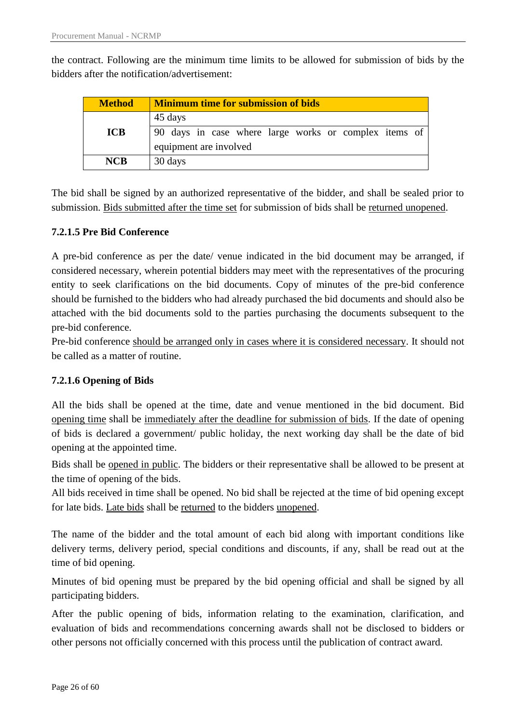the contract. Following are the minimum time limits to be allowed for submission of bids by the bidders after the notification/advertisement:

| <b>Method</b> | <b>Minimum time for submission of bids</b>            |  |  |  |  |  |  |  |  |  |  |  |
|---------------|-------------------------------------------------------|--|--|--|--|--|--|--|--|--|--|--|
|               | 45 days                                               |  |  |  |  |  |  |  |  |  |  |  |
| <b>ICB</b>    | 90 days in case where large works or complex items of |  |  |  |  |  |  |  |  |  |  |  |
|               | equipment are involved                                |  |  |  |  |  |  |  |  |  |  |  |
| <b>NCB</b>    | 30 days                                               |  |  |  |  |  |  |  |  |  |  |  |

The bid shall be signed by an authorized representative of the bidder, and shall be sealed prior to submission. Bids submitted after the time set for submission of bids shall be returned unopened.

### <span id="page-25-0"></span>**7.2.1.5 Pre Bid Conference**

A pre-bid conference as per the date/ venue indicated in the bid document may be arranged, if considered necessary, wherein potential bidders may meet with the representatives of the procuring entity to seek clarifications on the bid documents. Copy of minutes of the pre-bid conference should be furnished to the bidders who had already purchased the bid documents and should also be attached with the bid documents sold to the parties purchasing the documents subsequent to the pre-bid conference.

Pre-bid conference should be arranged only in cases where it is considered necessary. It should not be called as a matter of routine.

### <span id="page-25-1"></span>**7.2.1.6 Opening of Bids**

All the bids shall be opened at the time, date and venue mentioned in the bid document. Bid opening time shall be immediately after the deadline for submission of bids. If the date of opening of bids is declared a government/ public holiday, the next working day shall be the date of bid opening at the appointed time.

Bids shall be opened in public. The bidders or their representative shall be allowed to be present at the time of opening of the bids.

All bids received in time shall be opened. No bid shall be rejected at the time of bid opening except for late bids. Late bids shall be returned to the bidders unopened.

The name of the bidder and the total amount of each bid along with important conditions like delivery terms, delivery period, special conditions and discounts, if any, shall be read out at the time of bid opening.

Minutes of bid opening must be prepared by the bid opening official and shall be signed by all participating bidders.

After the public opening of bids, information relating to the examination, clarification, and evaluation of bids and recommendations concerning awards shall not be disclosed to bidders or other persons not officially concerned with this process until the publication of contract award.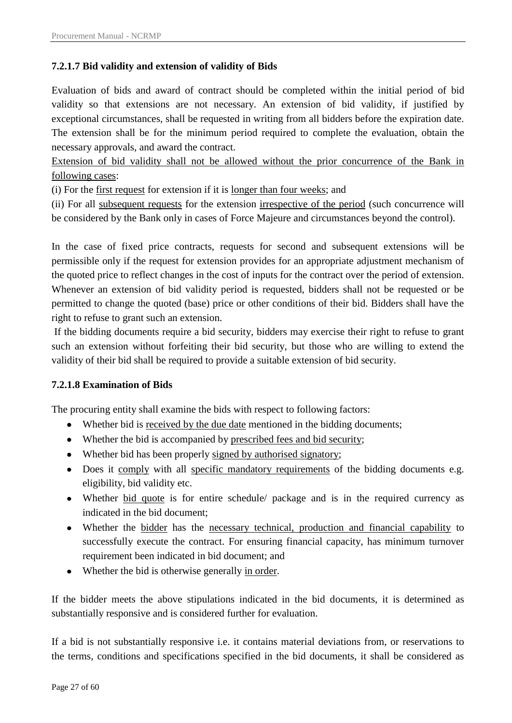### <span id="page-26-0"></span>**7.2.1.7 Bid validity and extension of validity of Bids**

Evaluation of bids and award of contract should be completed within the initial period of bid validity so that extensions are not necessary. An extension of bid validity, if justified by exceptional circumstances, shall be requested in writing from all bidders before the expiration date. The extension shall be for the minimum period required to complete the evaluation, obtain the necessary approvals, and award the contract.

Extension of bid validity shall not be allowed without the prior concurrence of the Bank in following cases:

(i) For the first request for extension if it is longer than four weeks; and

(ii) For all subsequent requests for the extension irrespective of the period (such concurrence will be considered by the Bank only in cases of Force Majeure and circumstances beyond the control).

In the case of fixed price contracts, requests for second and subsequent extensions will be permissible only if the request for extension provides for an appropriate adjustment mechanism of the quoted price to reflect changes in the cost of inputs for the contract over the period of extension. Whenever an extension of bid validity period is requested, bidders shall not be requested or be permitted to change the quoted (base) price or other conditions of their bid. Bidders shall have the right to refuse to grant such an extension.

If the bidding documents require a bid security, bidders may exercise their right to refuse to grant such an extension without forfeiting their bid security, but those who are willing to extend the validity of their bid shall be required to provide a suitable extension of bid security.

#### <span id="page-26-1"></span>**7.2.1.8 Examination of Bids**

The procuring entity shall examine the bids with respect to following factors:

- Whether bid is received by the due date mentioned in the bidding documents;
- Whether the bid is accompanied by prescribed fees and bid security;
- Whether bid has been properly signed by authorised signatory;
- Does it comply with all specific mandatory requirements of the bidding documents e.g. eligibility, bid validity etc.
- Whether bid quote is for entire schedule/ package and is in the required currency as indicated in the bid document;
- Whether the bidder has the necessary technical, production and financial capability to successfully execute the contract. For ensuring financial capacity, has minimum turnover requirement been indicated in bid document; and
- Whether the bid is otherwise generally in order.

If the bidder meets the above stipulations indicated in the bid documents, it is determined as substantially responsive and is considered further for evaluation.

If a bid is not substantially responsive i.e. it contains material deviations from, or reservations to the terms, conditions and specifications specified in the bid documents, it shall be considered as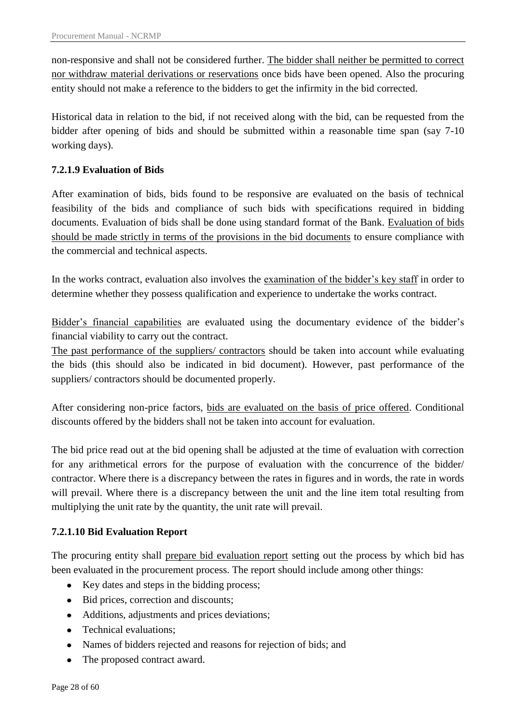non-responsive and shall not be considered further. The bidder shall neither be permitted to correct nor withdraw material derivations or reservations once bids have been opened. Also the procuring entity should not make a reference to the bidders to get the infirmity in the bid corrected.

Historical data in relation to the bid, if not received along with the bid, can be requested from the bidder after opening of bids and should be submitted within a reasonable time span (say 7-10 working days).

### <span id="page-27-0"></span>**7.2.1.9 Evaluation of Bids**

After examination of bids, bids found to be responsive are evaluated on the basis of technical feasibility of the bids and compliance of such bids with specifications required in bidding documents. Evaluation of bids shall be done using standard format of the Bank. Evaluation of bids should be made strictly in terms of the provisions in the bid documents to ensure compliance with the commercial and technical aspects.

In the works contract, evaluation also involves the examination of the bidder"s key staff in order to determine whether they possess qualification and experience to undertake the works contract.

Bidder's financial capabilities are evaluated using the documentary evidence of the bidder's financial viability to carry out the contract.

The past performance of the suppliers/ contractors should be taken into account while evaluating the bids (this should also be indicated in bid document). However, past performance of the suppliers/ contractors should be documented properly.

After considering non-price factors, bids are evaluated on the basis of price offered. Conditional discounts offered by the bidders shall not be taken into account for evaluation.

The bid price read out at the bid opening shall be adjusted at the time of evaluation with correction for any arithmetical errors for the purpose of evaluation with the concurrence of the bidder/ contractor. Where there is a discrepancy between the rates in figures and in words, the rate in words will prevail. Where there is a discrepancy between the unit and the line item total resulting from multiplying the unit rate by the quantity, the unit rate will prevail.

### <span id="page-27-1"></span>**7.2.1.10 Bid Evaluation Report**

The procuring entity shall prepare bid evaluation report setting out the process by which bid has been evaluated in the procurement process. The report should include among other things:

- Key dates and steps in the bidding process;
- Bid prices, correction and discounts;
- Additions, adjustments and prices deviations;
- Technical evaluations;  $\bullet$
- Names of bidders rejected and reasons for rejection of bids; and
- The proposed contract award.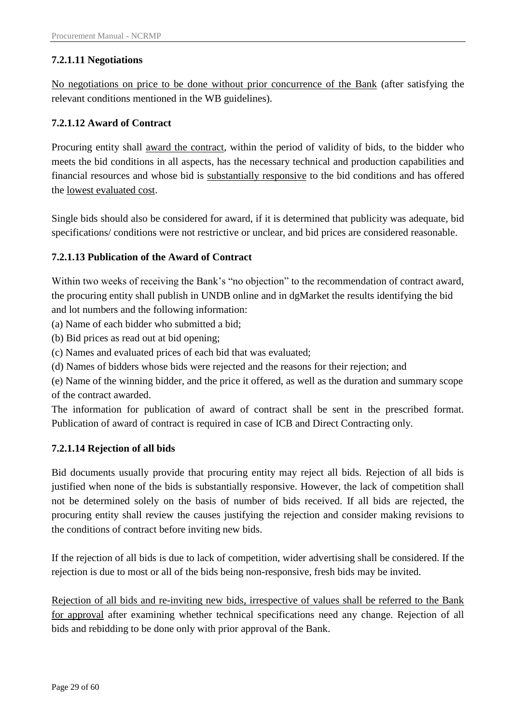### <span id="page-28-0"></span>**7.2.1.11 Negotiations**

No negotiations on price to be done without prior concurrence of the Bank (after satisfying the relevant conditions mentioned in the WB guidelines).

### <span id="page-28-1"></span>**7.2.1.12 Award of Contract**

Procuring entity shall award the contract, within the period of validity of bids, to the bidder who meets the bid conditions in all aspects, has the necessary technical and production capabilities and financial resources and whose bid is substantially responsive to the bid conditions and has offered the lowest evaluated cost.

Single bids should also be considered for award, if it is determined that publicity was adequate, bid specifications/ conditions were not restrictive or unclear, and bid prices are considered reasonable.

### <span id="page-28-2"></span>**7.2.1.13 Publication of the Award of Contract**

Within two weeks of receiving the Bank"s "no objection" to the recommendation of contract award, the procuring entity shall publish in UNDB online and in dgMarket the results identifying the bid and lot numbers and the following information:

(a) Name of each bidder who submitted a bid;

(b) Bid prices as read out at bid opening;

(c) Names and evaluated prices of each bid that was evaluated;

(d) Names of bidders whose bids were rejected and the reasons for their rejection; and

(e) Name of the winning bidder, and the price it offered, as well as the duration and summary scope of the contract awarded.

The information for publication of award of contract shall be sent in the prescribed format. Publication of award of contract is required in case of ICB and Direct Contracting only.

### <span id="page-28-3"></span>**7.2.1.14 Rejection of all bids**

Bid documents usually provide that procuring entity may reject all bids. Rejection of all bids is justified when none of the bids is substantially responsive. However, the lack of competition shall not be determined solely on the basis of number of bids received. If all bids are rejected, the procuring entity shall review the causes justifying the rejection and consider making revisions to the conditions of contract before inviting new bids.

If the rejection of all bids is due to lack of competition, wider advertising shall be considered. If the rejection is due to most or all of the bids being non-responsive, fresh bids may be invited.

Rejection of all bids and re-inviting new bids, irrespective of values shall be referred to the Bank for approval after examining whether technical specifications need any change. Rejection of all bids and rebidding to be done only with prior approval of the Bank.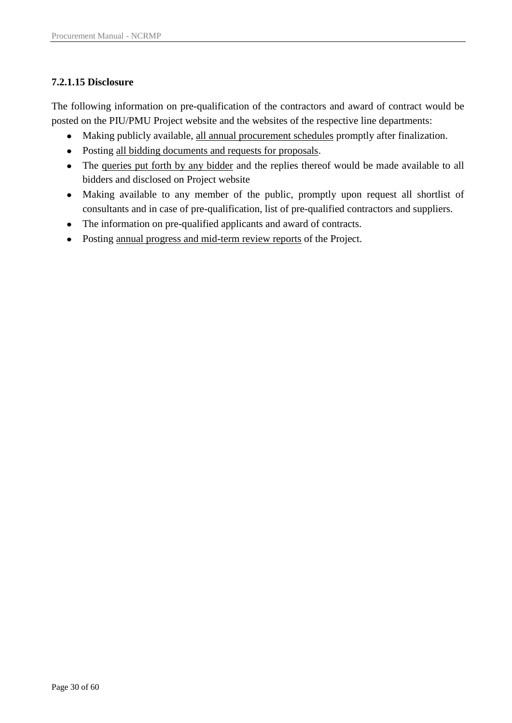### <span id="page-29-0"></span>**7.2.1.15 Disclosure**

The following information on pre-qualification of the contractors and award of contract would be posted on the PIU/PMU Project website and the websites of the respective line departments:

- Making publicly available, all annual procurement schedules promptly after finalization.
- Posting all bidding documents and requests for proposals.  $\bullet$
- The queries put forth by any bidder and the replies thereof would be made available to all bidders and disclosed on Project website
- Making available to any member of the public, promptly upon request all shortlist of consultants and in case of pre-qualification, list of pre-qualified contractors and suppliers.
- The information on pre-qualified applicants and award of contracts.  $\bullet$
- Posting annual progress and mid-term review reports of the Project.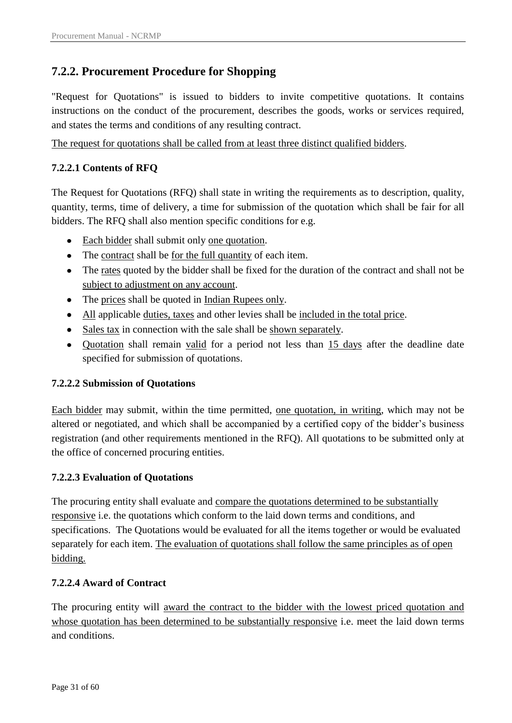## <span id="page-30-0"></span>**7.2.2. Procurement Procedure for Shopping**

"Request for Quotations" is issued to bidders to invite competitive quotations. It contains instructions on the conduct of the procurement, describes the goods, works or services required, and states the terms and conditions of any resulting contract.

The request for quotations shall be called from at least three distinct qualified bidders.

### <span id="page-30-1"></span>**7.2.2.1 Contents of RFQ**

The Request for Quotations (RFQ) shall state in writing the requirements as to description, quality, quantity, terms, time of delivery, a time for submission of the quotation which shall be fair for all bidders. The RFQ shall also mention specific conditions for e.g.

- Each bidder shall submit only one quotation.
- The contract shall be for the full quantity of each item.
- The rates quoted by the bidder shall be fixed for the duration of the contract and shall not be subject to adjustment on any account.
- The prices shall be quoted in Indian Rupees only.
- All applicable duties, taxes and other levies shall be included in the total price.  $\bullet$
- Sales tax in connection with the sale shall be shown separately.  $\bullet$
- Quotation shall remain valid for a period not less than 15 days after the deadline date specified for submission of quotations.

### <span id="page-30-2"></span>**7.2.2.2 Submission of Quotations**

Each bidder may submit, within the time permitted, one quotation, in writing, which may not be altered or negotiated, and which shall be accompanied by a certified copy of the bidder"s business registration (and other requirements mentioned in the RFQ). All quotations to be submitted only at the office of concerned procuring entities.

### <span id="page-30-3"></span>**7.2.2.3 Evaluation of Quotations**

The procuring entity shall evaluate and compare the quotations determined to be substantially responsive i.e. the quotations which conform to the laid down terms and conditions, and specifications. The Quotations would be evaluated for all the items together or would be evaluated separately for each item. The evaluation of quotations shall follow the same principles as of open bidding.

### <span id="page-30-4"></span>**7.2.2.4 Award of Contract**

The procuring entity will award the contract to the bidder with the lowest priced quotation and whose quotation has been determined to be substantially responsive i.e. meet the laid down terms and conditions.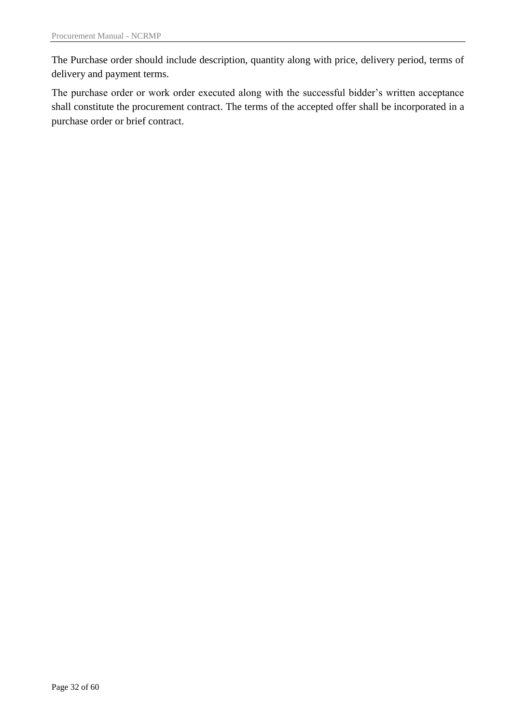The Purchase order should include description, quantity along with price, delivery period, terms of delivery and payment terms.

The purchase order or work order executed along with the successful bidder's written acceptance shall constitute the procurement contract. The terms of the accepted offer shall be incorporated in a purchase order or brief contract.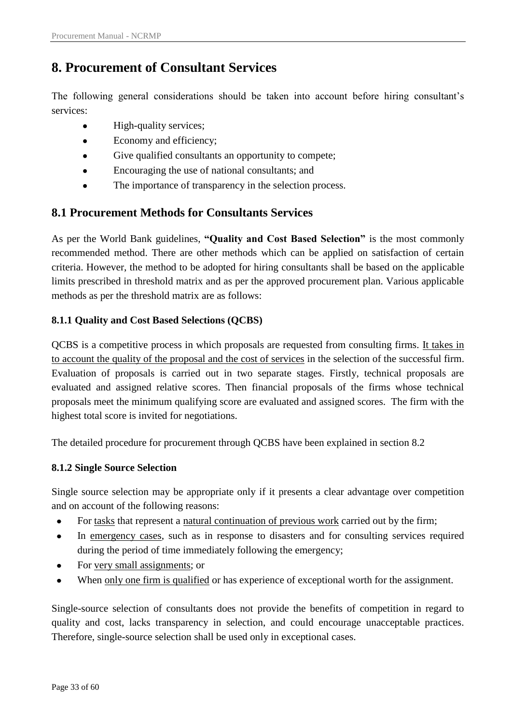# <span id="page-32-0"></span>**8. Procurement of Consultant Services**

The following general considerations should be taken into account before hiring consultant's services:

- High-quality services;
- Economy and efficiency;  $\bullet$
- Give qualified consultants an opportunity to compete;
- Encouraging the use of national consultants; and  $\bullet$
- The importance of transparency in the selection process.

## <span id="page-32-1"></span>**8.1 Procurement Methods for Consultants Services**

As per the World Bank guidelines, **"Quality and Cost Based Selection"** is the most commonly recommended method. There are other methods which can be applied on satisfaction of certain criteria. However, the method to be adopted for hiring consultants shall be based on the applicable limits prescribed in threshold matrix and as per the approved procurement plan. Various applicable methods as per the threshold matrix are as follows:

## <span id="page-32-2"></span>**8.1.1 Quality and Cost Based Selections (QCBS)**

QCBS is a competitive process in which proposals are requested from consulting firms. It takes in to account the quality of the proposal and the cost of services in the selection of the successful firm. Evaluation of proposals is carried out in two separate stages. Firstly, technical proposals are evaluated and assigned relative scores. Then financial proposals of the firms whose technical proposals meet the minimum qualifying score are evaluated and assigned scores. The firm with the highest total score is invited for negotiations.

The detailed procedure for procurement through QCBS have been explained in section 8.2

## <span id="page-32-3"></span>**8.1.2 Single Source Selection**

Single source selection may be appropriate only if it presents a clear advantage over competition and on account of the following reasons:

- $\bullet$ For tasks that represent a natural continuation of previous work carried out by the firm;
- In emergency cases, such as in response to disasters and for consulting services required  $\bullet$ during the period of time immediately following the emergency;
- For very small assignments; or  $\bullet$
- When only one firm is qualified or has experience of exceptional worth for the assignment.  $\bullet$

Single-source selection of consultants does not provide the benefits of competition in regard to quality and cost, lacks transparency in selection, and could encourage unacceptable practices. Therefore, single-source selection shall be used only in exceptional cases.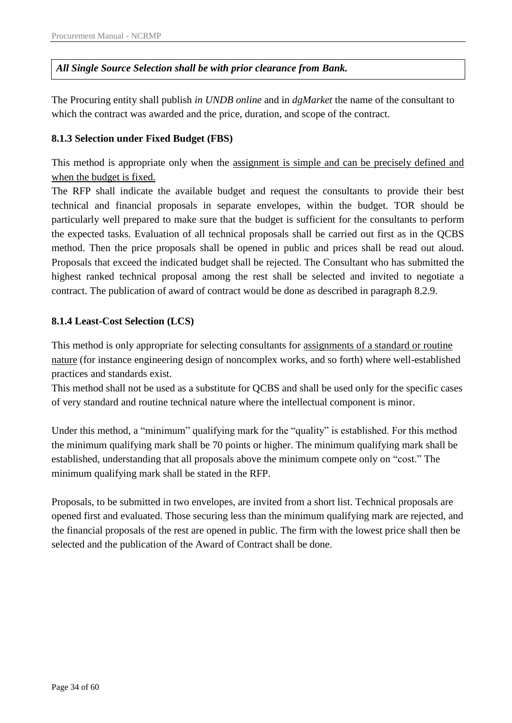### *All Single Source Selection shall be with prior clearance from Bank.*

The Procuring entity shall publish *in UNDB online* and in *dgMarket* the name of the consultant to which the contract was awarded and the price, duration, and scope of the contract.

### <span id="page-33-0"></span>**8.1.3 Selection under Fixed Budget (FBS)**

This method is appropriate only when the assignment is simple and can be precisely defined and when the budget is fixed.

The RFP shall indicate the available budget and request the consultants to provide their best technical and financial proposals in separate envelopes, within the budget. TOR should be particularly well prepared to make sure that the budget is sufficient for the consultants to perform the expected tasks. Evaluation of all technical proposals shall be carried out first as in the QCBS method. Then the price proposals shall be opened in public and prices shall be read out aloud. Proposals that exceed the indicated budget shall be rejected. The Consultant who has submitted the highest ranked technical proposal among the rest shall be selected and invited to negotiate a contract. The publication of award of contract would be done as described in paragraph 8.2.9.

### <span id="page-33-1"></span>**8.1.4 Least-Cost Selection (LCS)**

This method is only appropriate for selecting consultants for assignments of a standard or routine nature (for instance engineering design of noncomplex works, and so forth) where well-established practices and standards exist.

This method shall not be used as a substitute for QCBS and shall be used only for the specific cases of very standard and routine technical nature where the intellectual component is minor.

Under this method, a "minimum" qualifying mark for the "quality" is established. For this method the minimum qualifying mark shall be 70 points or higher. The minimum qualifying mark shall be established, understanding that all proposals above the minimum compete only on "cost." The minimum qualifying mark shall be stated in the RFP.

Proposals, to be submitted in two envelopes, are invited from a short list. Technical proposals are opened first and evaluated. Those securing less than the minimum qualifying mark are rejected, and the financial proposals of the rest are opened in public. The firm with the lowest price shall then be selected and the publication of the Award of Contract shall be done.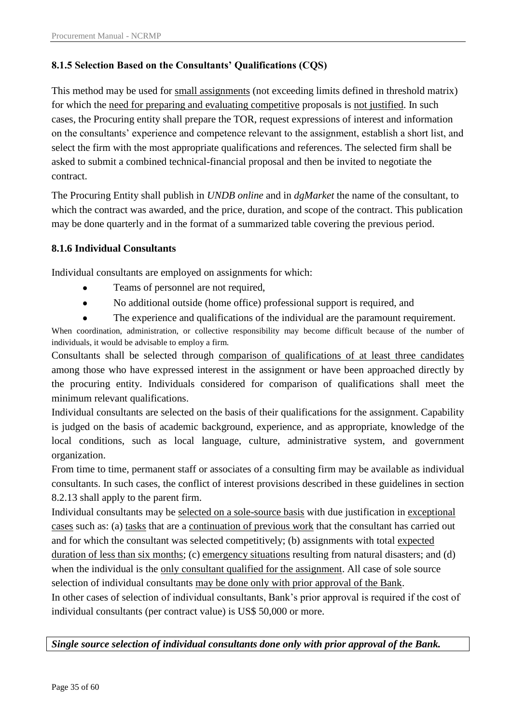### <span id="page-34-0"></span>**8.1.5 Selection Based on the Consultants" Qualifications (CQS)**

This method may be used for small assignments (not exceeding limits defined in threshold matrix) for which the need for preparing and evaluating competitive proposals is not justified. In such cases, the Procuring entity shall prepare the TOR, request expressions of interest and information on the consultants" experience and competence relevant to the assignment, establish a short list, and select the firm with the most appropriate qualifications and references. The selected firm shall be asked to submit a combined technical-financial proposal and then be invited to negotiate the contract.

The Procuring Entity shall publish in *UNDB online* and in *dgMarket* the name of the consultant, to which the contract was awarded, and the price, duration, and scope of the contract. This publication may be done quarterly and in the format of a summarized table covering the previous period.

### <span id="page-34-1"></span>**8.1.6 Individual Consultants**

Individual consultants are employed on assignments for which:

- $\bullet$ Teams of personnel are not required,
- $\bullet$ No additional outside (home office) professional support is required, and
- The experience and qualifications of the individual are the paramount requirement.

When coordination, administration, or collective responsibility may become difficult because of the number of individuals, it would be advisable to employ a firm.

Consultants shall be selected through comparison of qualifications of at least three candidates among those who have expressed interest in the assignment or have been approached directly by the procuring entity. Individuals considered for comparison of qualifications shall meet the minimum relevant qualifications.

Individual consultants are selected on the basis of their qualifications for the assignment. Capability is judged on the basis of academic background, experience, and as appropriate, knowledge of the local conditions, such as local language, culture, administrative system, and government organization.

From time to time, permanent staff or associates of a consulting firm may be available as individual consultants. In such cases, the conflict of interest provisions described in these guidelines in section 8.2.13 shall apply to the parent firm.

Individual consultants may be selected on a sole-source basis with due justification in exceptional cases such as: (a) tasks that are a continuation of previous work that the consultant has carried out and for which the consultant was selected competitively; (b) assignments with total expected duration of less than six months; (c) emergency situations resulting from natural disasters; and (d) when the individual is the only consultant qualified for the assignment. All case of sole source selection of individual consultants may be done only with prior approval of the Bank.

In other cases of selection of individual consultants, Bank"s prior approval is required if the cost of individual consultants (per contract value) is US\$ 50,000 or more.

*Single source selection of individual consultants done only with prior approval of the Bank.*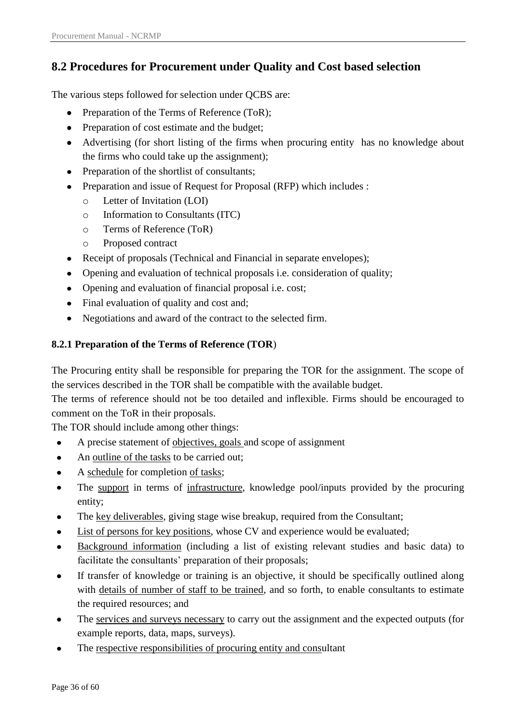# <span id="page-35-0"></span>**8.2 Procedures for Procurement under Quality and Cost based selection**

The various steps followed for selection under QCBS are:

- Preparation of the Terms of Reference (ToR);
- Preparation of cost estimate and the budget;
- Advertising (for short listing of the firms when procuring entity has no knowledge about the firms who could take up the assignment);
- Preparation of the shortlist of consultants;
- Preparation and issue of Request for Proposal (RFP) which includes :
	- o Letter of Invitation (LOI)
	- o Information to Consultants (ITC)
	- o Terms of Reference (ToR)
	- o Proposed contract
- Receipt of proposals (Technical and Financial in separate envelopes);
- Opening and evaluation of technical proposals i.e. consideration of quality;
- Opening and evaluation of financial proposal i.e. cost;
- Final evaluation of quality and cost and;
- Negotiations and award of the contract to the selected firm.

### <span id="page-35-1"></span>**8.2.1 Preparation of the Terms of Reference (TOR**)

The Procuring entity shall be responsible for preparing the TOR for the assignment. The scope of the services described in the TOR shall be compatible with the available budget.

The terms of reference should not be too detailed and inflexible. Firms should be encouraged to comment on the ToR in their proposals.

The TOR should include among other things:

- A precise statement of objectives, goals and scope of assignment  $\bullet$
- An outline of the tasks to be carried out;  $\bullet$
- A schedule for completion of tasks;
- The support in terms of infrastructure, knowledge pool/inputs provided by the procuring entity;
- The key deliverables, giving stage wise breakup, required from the Consultant;
- List of persons for key positions, whose CV and experience would be evaluated;
- Background information (including a list of existing relevant studies and basic data) to  $\bullet$ facilitate the consultants' preparation of their proposals;
- If transfer of knowledge or training is an objective, it should be specifically outlined along with details of number of staff to be trained, and so forth, to enable consultants to estimate the required resources; and
- The services and surveys necessary to carry out the assignment and the expected outputs (for  $\bullet$ example reports, data, maps, surveys).
- The respective responsibilities of procuring entity and consultant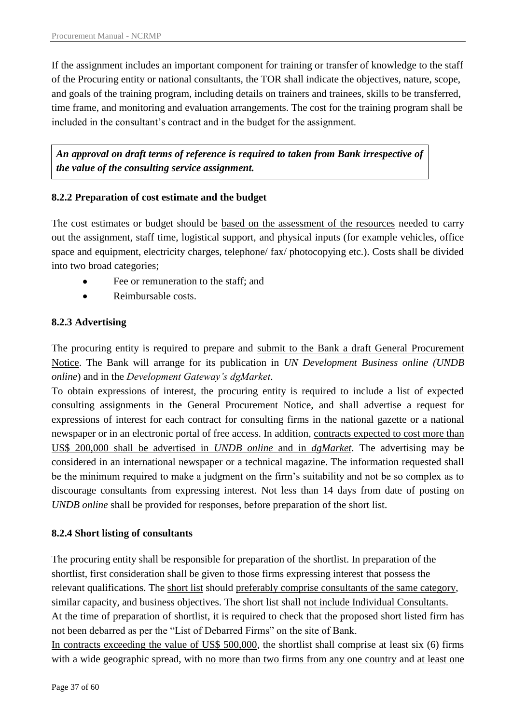If the assignment includes an important component for training or transfer of knowledge to the staff of the Procuring entity or national consultants, the TOR shall indicate the objectives, nature, scope, and goals of the training program, including details on trainers and trainees, skills to be transferred, time frame, and monitoring and evaluation arrangements. The cost for the training program shall be included in the consultant's contract and in the budget for the assignment.

*An approval on draft terms of reference is required to taken from Bank irrespective of the value of the consulting service assignment.* 

### <span id="page-36-0"></span>**8.2.2 Preparation of cost estimate and the budget**

The cost estimates or budget should be based on the assessment of the resources needed to carry out the assignment, staff time, logistical support, and physical inputs (for example vehicles, office space and equipment, electricity charges, telephone/ fax/ photocopying etc.). Costs shall be divided into two broad categories;

- Fee or remuneration to the staff; and
- Reimbursable costs.  $\bullet$

### <span id="page-36-1"></span>**8.2.3 Advertising**

The procuring entity is required to prepare and submit to the Bank a draft General Procurement Notice. The Bank will arrange for its publication in *UN Development Business online (UNDB online*) and in the *Development Gateway's dgMarket*.

To obtain expressions of interest, the procuring entity is required to include a list of expected consulting assignments in the General Procurement Notice, and shall advertise a request for expressions of interest for each contract for consulting firms in the national gazette or a national newspaper or in an electronic portal of free access. In addition, contracts expected to cost more than US\$ 200,000 shall be advertised in *UNDB online* and in *dgMarket*. The advertising may be considered in an international newspaper or a technical magazine. The information requested shall be the minimum required to make a judgment on the firm's suitability and not be so complex as to discourage consultants from expressing interest. Not less than 14 days from date of posting on *UNDB online* shall be provided for responses, before preparation of the short list.

### <span id="page-36-2"></span>**8.2.4 Short listing of consultants**

The procuring entity shall be responsible for preparation of the shortlist. In preparation of the shortlist, first consideration shall be given to those firms expressing interest that possess the relevant qualifications. The short list should preferably comprise consultants of the same category, similar capacity, and business objectives. The short list shall not include Individual Consultants. At the time of preparation of shortlist, it is required to check that the proposed short listed firm has not been debarred as per the "List of Debarred Firms" on the site of Bank. In contracts exceeding the value of US\$ 500,000, the shortlist shall comprise at least six (6) firms with a wide geographic spread, with no more than two firms from any one country and at least one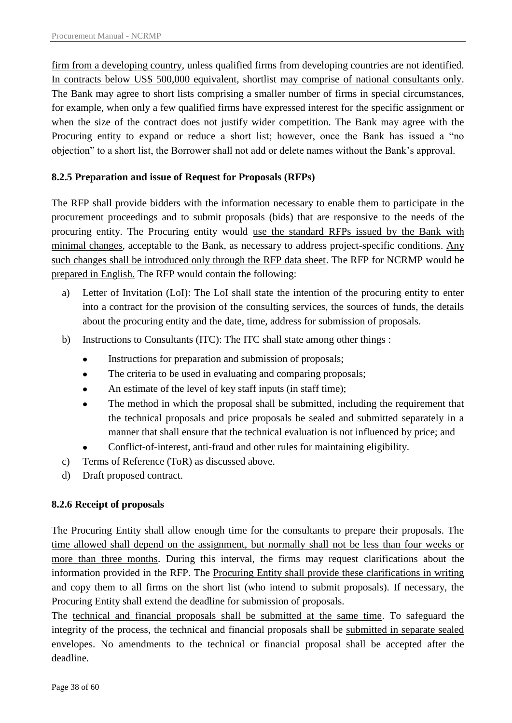firm from a developing country, unless qualified firms from developing countries are not identified. In contracts below US\$ 500,000 equivalent, shortlist may comprise of national consultants only. The Bank may agree to short lists comprising a smaller number of firms in special circumstances, for example, when only a few qualified firms have expressed interest for the specific assignment or when the size of the contract does not justify wider competition. The Bank may agree with the Procuring entity to expand or reduce a short list; however, once the Bank has issued a "no objection" to a short list, the Borrower shall not add or delete names without the Bank"s approval.

### <span id="page-37-0"></span>**8.2.5 Preparation and issue of Request for Proposals (RFPs)**

The RFP shall provide bidders with the information necessary to enable them to participate in the procurement proceedings and to submit proposals (bids) that are responsive to the needs of the procuring entity. The Procuring entity would use the standard RFPs issued by the Bank with minimal changes, acceptable to the Bank, as necessary to address project-specific conditions. Any such changes shall be introduced only through the RFP data sheet. The RFP for NCRMP would be prepared in English. The RFP would contain the following:

- a) Letter of Invitation (LoI): The LoI shall state the intention of the procuring entity to enter into a contract for the provision of the consulting services, the sources of funds, the details about the procuring entity and the date, time, address for submission of proposals.
- b) Instructions to Consultants (ITC): The ITC shall state among other things :
	- Instructions for preparation and submission of proposals;
	- The criteria to be used in evaluating and comparing proposals;  $\bullet$
	- An estimate of the level of key staff inputs (in staff time);
	- The method in which the proposal shall be submitted, including the requirement that the technical proposals and price proposals be sealed and submitted separately in a manner that shall ensure that the technical evaluation is not influenced by price; and
	- Conflict-of-interest, anti-fraud and other rules for maintaining eligibility.
- c) Terms of Reference (ToR) as discussed above.
- d) Draft proposed contract.

## <span id="page-37-1"></span>**8.2.6 Receipt of proposals**

The Procuring Entity shall allow enough time for the consultants to prepare their proposals. The time allowed shall depend on the assignment, but normally shall not be less than four weeks or more than three months. During this interval, the firms may request clarifications about the information provided in the RFP. The Procuring Entity shall provide these clarifications in writing and copy them to all firms on the short list (who intend to submit proposals). If necessary, the Procuring Entity shall extend the deadline for submission of proposals.

The technical and financial proposals shall be submitted at the same time. To safeguard the integrity of the process, the technical and financial proposals shall be submitted in separate sealed envelopes. No amendments to the technical or financial proposal shall be accepted after the deadline.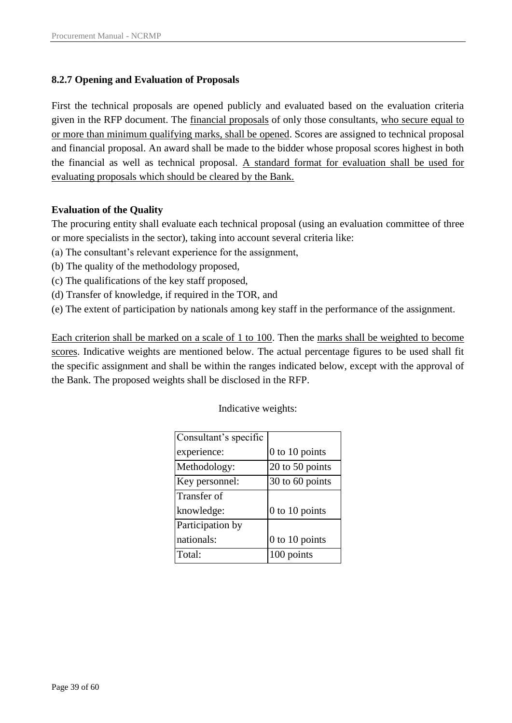### <span id="page-38-0"></span>**8.2.7 Opening and Evaluation of Proposals**

First the technical proposals are opened publicly and evaluated based on the evaluation criteria given in the RFP document. The financial proposals of only those consultants, who secure equal to or more than minimum qualifying marks, shall be opened. Scores are assigned to technical proposal and financial proposal. An award shall be made to the bidder whose proposal scores highest in both the financial as well as technical proposal. A standard format for evaluation shall be used for evaluating proposals which should be cleared by the Bank.

### **Evaluation of the Quality**

The procuring entity shall evaluate each technical proposal (using an evaluation committee of three or more specialists in the sector), taking into account several criteria like:

- (a) The consultant"s relevant experience for the assignment,
- (b) The quality of the methodology proposed,
- (c) The qualifications of the key staff proposed,
- (d) Transfer of knowledge, if required in the TOR, and
- (e) The extent of participation by nationals among key staff in the performance of the assignment.

Each criterion shall be marked on a scale of 1 to 100. Then the marks shall be weighted to become scores. Indicative weights are mentioned below. The actual percentage figures to be used shall fit the specific assignment and shall be within the ranges indicated below, except with the approval of the Bank. The proposed weights shall be disclosed in the RFP.

Indicative weights:

| Consultant's specific |                 |
|-----------------------|-----------------|
| experience:           | 0 to 10 points  |
| Methodology:          | 20 to 50 points |
| Key personnel:        | 30 to 60 points |
| Transfer of           |                 |
| knowledge:            | 0 to 10 points  |
| Participation by      |                 |
| nationals:            | 0 to 10 points  |
| Total:                | 100 points      |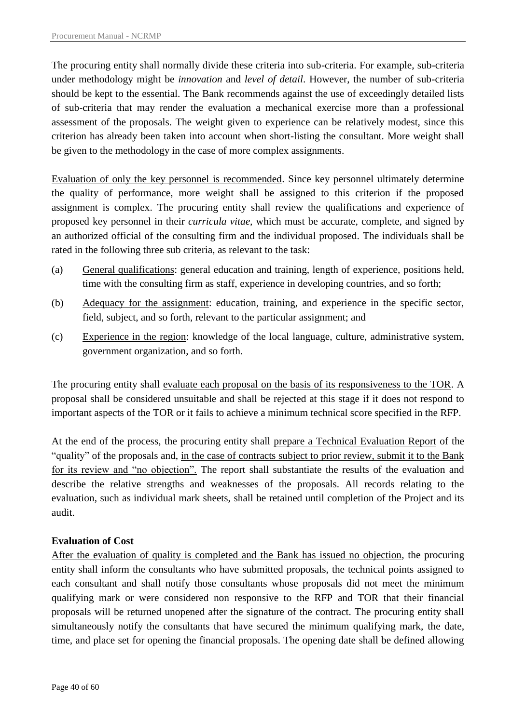The procuring entity shall normally divide these criteria into sub-criteria. For example, sub-criteria under methodology might be *innovation* and *level of detail*. However, the number of sub-criteria should be kept to the essential. The Bank recommends against the use of exceedingly detailed lists of sub-criteria that may render the evaluation a mechanical exercise more than a professional assessment of the proposals. The weight given to experience can be relatively modest, since this criterion has already been taken into account when short-listing the consultant. More weight shall be given to the methodology in the case of more complex assignments.

Evaluation of only the key personnel is recommended. Since key personnel ultimately determine the quality of performance, more weight shall be assigned to this criterion if the proposed assignment is complex. The procuring entity shall review the qualifications and experience of proposed key personnel in their *curricula vitae,* which must be accurate, complete, and signed by an authorized official of the consulting firm and the individual proposed. The individuals shall be rated in the following three sub criteria, as relevant to the task:

- (a) General qualifications: general education and training, length of experience, positions held, time with the consulting firm as staff, experience in developing countries, and so forth;
- (b) Adequacy for the assignment: education, training, and experience in the specific sector, field, subject, and so forth, relevant to the particular assignment; and
- (c) Experience in the region: knowledge of the local language, culture, administrative system, government organization, and so forth.

The procuring entity shall evaluate each proposal on the basis of its responsiveness to the TOR. A proposal shall be considered unsuitable and shall be rejected at this stage if it does not respond to important aspects of the TOR or it fails to achieve a minimum technical score specified in the RFP.

At the end of the process, the procuring entity shall prepare a Technical Evaluation Report of the "quality" of the proposals and, in the case of contracts subject to prior review, submit it to the Bank for its review and "no objection". The report shall substantiate the results of the evaluation and describe the relative strengths and weaknesses of the proposals. All records relating to the evaluation, such as individual mark sheets, shall be retained until completion of the Project and its audit.

### **Evaluation of Cost**

After the evaluation of quality is completed and the Bank has issued no objection, the procuring entity shall inform the consultants who have submitted proposals, the technical points assigned to each consultant and shall notify those consultants whose proposals did not meet the minimum qualifying mark or were considered non responsive to the RFP and TOR that their financial proposals will be returned unopened after the signature of the contract. The procuring entity shall simultaneously notify the consultants that have secured the minimum qualifying mark, the date, time, and place set for opening the financial proposals. The opening date shall be defined allowing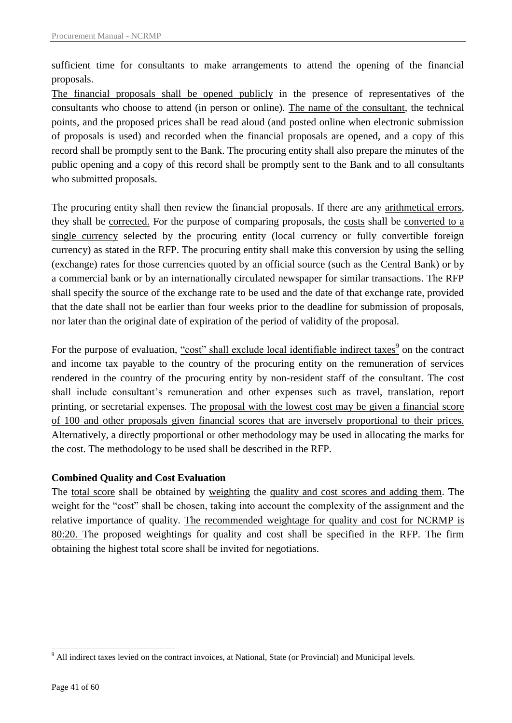sufficient time for consultants to make arrangements to attend the opening of the financial proposals.

The financial proposals shall be opened publicly in the presence of representatives of the consultants who choose to attend (in person or online). The name of the consultant, the technical points, and the proposed prices shall be read aloud (and posted online when electronic submission of proposals is used) and recorded when the financial proposals are opened, and a copy of this record shall be promptly sent to the Bank. The procuring entity shall also prepare the minutes of the public opening and a copy of this record shall be promptly sent to the Bank and to all consultants who submitted proposals.

The procuring entity shall then review the financial proposals. If there are any arithmetical errors, they shall be corrected. For the purpose of comparing proposals, the costs shall be converted to a single currency selected by the procuring entity (local currency or fully convertible foreign currency) as stated in the RFP. The procuring entity shall make this conversion by using the selling (exchange) rates for those currencies quoted by an official source (such as the Central Bank) or by a commercial bank or by an internationally circulated newspaper for similar transactions. The RFP shall specify the source of the exchange rate to be used and the date of that exchange rate, provided that the date shall not be earlier than four weeks prior to the deadline for submission of proposals, nor later than the original date of expiration of the period of validity of the proposal.

For the purpose of evaluation, <u>"cost" shall exclude local identifiable indirect taxes<sup>9</sup> on the contract</u> and income tax payable to the country of the procuring entity on the remuneration of services rendered in the country of the procuring entity by non-resident staff of the consultant. The cost shall include consultant"s remuneration and other expenses such as travel, translation, report printing, or secretarial expenses. The proposal with the lowest cost may be given a financial score of 100 and other proposals given financial scores that are inversely proportional to their prices. Alternatively, a directly proportional or other methodology may be used in allocating the marks for the cost. The methodology to be used shall be described in the RFP.

#### **Combined Quality and Cost Evaluation**

The total score shall be obtained by weighting the quality and cost scores and adding them. The weight for the "cost" shall be chosen, taking into account the complexity of the assignment and the relative importance of quality. The recommended weightage for quality and cost for NCRMP is 80:20. The proposed weightings for quality and cost shall be specified in the RFP. The firm obtaining the highest total score shall be invited for negotiations.

1

<sup>&</sup>lt;sup>9</sup> All indirect taxes levied on the contract invoices, at National, State (or Provincial) and Municipal levels.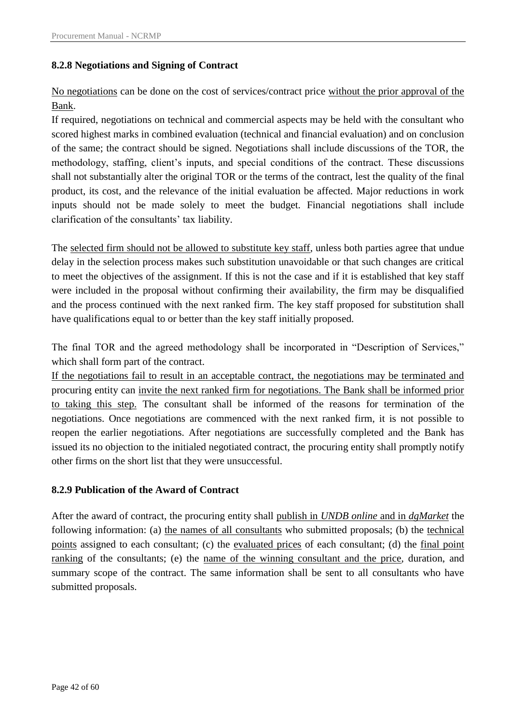### <span id="page-41-0"></span>**8.2.8 Negotiations and Signing of Contract**

No negotiations can be done on the cost of services/contract price without the prior approval of the Bank.

If required, negotiations on technical and commercial aspects may be held with the consultant who scored highest marks in combined evaluation (technical and financial evaluation) and on conclusion of the same; the contract should be signed. Negotiations shall include discussions of the TOR, the methodology, staffing, client"s inputs, and special conditions of the contract. These discussions shall not substantially alter the original TOR or the terms of the contract, lest the quality of the final product, its cost, and the relevance of the initial evaluation be affected. Major reductions in work inputs should not be made solely to meet the budget. Financial negotiations shall include clarification of the consultants' tax liability.

The selected firm should not be allowed to substitute key staff, unless both parties agree that undue delay in the selection process makes such substitution unavoidable or that such changes are critical to meet the objectives of the assignment. If this is not the case and if it is established that key staff were included in the proposal without confirming their availability, the firm may be disqualified and the process continued with the next ranked firm. The key staff proposed for substitution shall have qualifications equal to or better than the key staff initially proposed.

The final TOR and the agreed methodology shall be incorporated in "Description of Services," which shall form part of the contract.

If the negotiations fail to result in an acceptable contract, the negotiations may be terminated and procuring entity can invite the next ranked firm for negotiations. The Bank shall be informed prior to taking this step. The consultant shall be informed of the reasons for termination of the negotiations. Once negotiations are commenced with the next ranked firm, it is not possible to reopen the earlier negotiations. After negotiations are successfully completed and the Bank has issued its no objection to the initialed negotiated contract, the procuring entity shall promptly notify other firms on the short list that they were unsuccessful.

#### <span id="page-41-1"></span>**8.2.9 Publication of the Award of Contract**

After the award of contract, the procuring entity shall publish in *UNDB online* and in *dgMarket* the following information: (a) the names of all consultants who submitted proposals; (b) the technical points assigned to each consultant; (c) the evaluated prices of each consultant; (d) the final point ranking of the consultants; (e) the name of the winning consultant and the price, duration, and summary scope of the contract. The same information shall be sent to all consultants who have submitted proposals.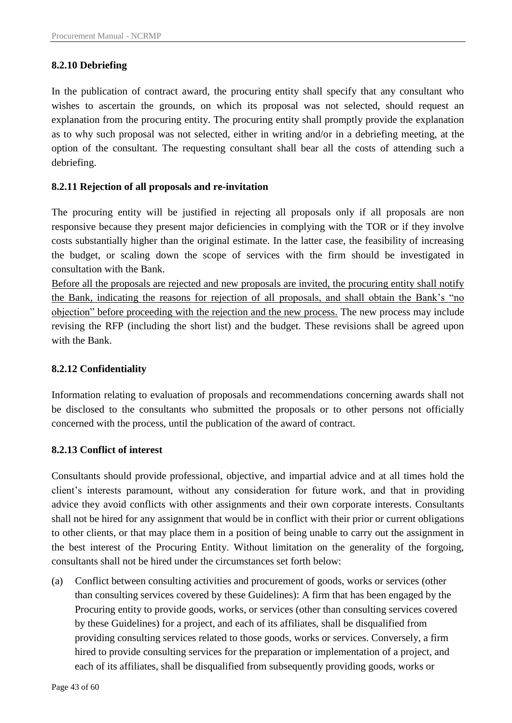#### <span id="page-42-0"></span>**8.2.10 Debriefing**

In the publication of contract award, the procuring entity shall specify that any consultant who wishes to ascertain the grounds, on which its proposal was not selected, should request an explanation from the procuring entity. The procuring entity shall promptly provide the explanation as to why such proposal was not selected, either in writing and/or in a debriefing meeting, at the option of the consultant. The requesting consultant shall bear all the costs of attending such a debriefing.

#### <span id="page-42-1"></span>**8.2.11 Rejection of all proposals and re-invitation**

The procuring entity will be justified in rejecting all proposals only if all proposals are non responsive because they present major deficiencies in complying with the TOR or if they involve costs substantially higher than the original estimate. In the latter case, the feasibility of increasing the budget, or scaling down the scope of services with the firm should be investigated in consultation with the Bank.

Before all the proposals are rejected and new proposals are invited, the procuring entity shall notify the Bank, indicating the reasons for rejection of all proposals, and shall obtain the Bank"s "no objection" before proceeding with the rejection and the new process. The new process may include revising the RFP (including the short list) and the budget. These revisions shall be agreed upon with the Bank.

#### <span id="page-42-2"></span>**8.2.12 Confidentiality**

Information relating to evaluation of proposals and recommendations concerning awards shall not be disclosed to the consultants who submitted the proposals or to other persons not officially concerned with the process, until the publication of the award of contract.

#### <span id="page-42-3"></span>**8.2.13 Conflict of interest**

Consultants should provide professional, objective, and impartial advice and at all times hold the client's interests paramount, without any consideration for future work, and that in providing advice they avoid conflicts with other assignments and their own corporate interests. Consultants shall not be hired for any assignment that would be in conflict with their prior or current obligations to other clients, or that may place them in a position of being unable to carry out the assignment in the best interest of the Procuring Entity. Without limitation on the generality of the forgoing, consultants shall not be hired under the circumstances set forth below:

(a) Conflict between consulting activities and procurement of goods, works or services (other than consulting services covered by these Guidelines): A firm that has been engaged by the Procuring entity to provide goods, works, or services (other than consulting services covered by these Guidelines) for a project, and each of its affiliates, shall be disqualified from providing consulting services related to those goods, works or services. Conversely, a firm hired to provide consulting services for the preparation or implementation of a project, and each of its affiliates, shall be disqualified from subsequently providing goods, works or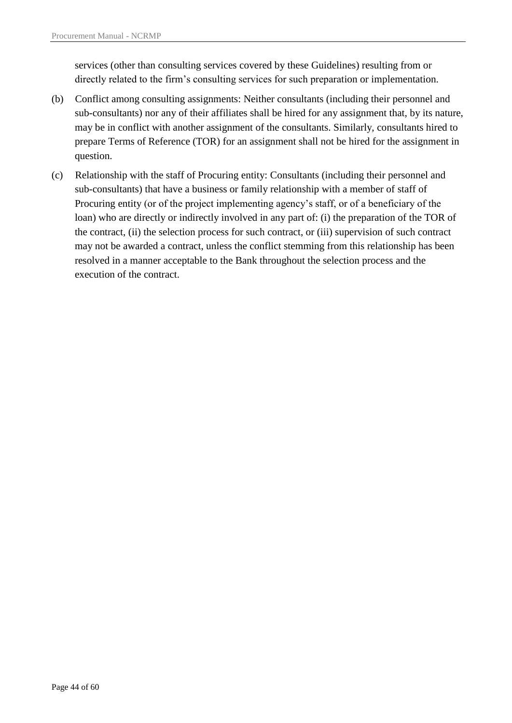services (other than consulting services covered by these Guidelines) resulting from or directly related to the firm's consulting services for such preparation or implementation.

- (b) Conflict among consulting assignments: Neither consultants (including their personnel and sub-consultants) nor any of their affiliates shall be hired for any assignment that, by its nature, may be in conflict with another assignment of the consultants. Similarly, consultants hired to prepare Terms of Reference (TOR) for an assignment shall not be hired for the assignment in question.
- (c) Relationship with the staff of Procuring entity: Consultants (including their personnel and sub-consultants) that have a business or family relationship with a member of staff of Procuring entity (or of the project implementing agency"s staff, or of a beneficiary of the loan) who are directly or indirectly involved in any part of: (i) the preparation of the TOR of the contract, (ii) the selection process for such contract, or (iii) supervision of such contract may not be awarded a contract, unless the conflict stemming from this relationship has been resolved in a manner acceptable to the Bank throughout the selection process and the execution of the contract.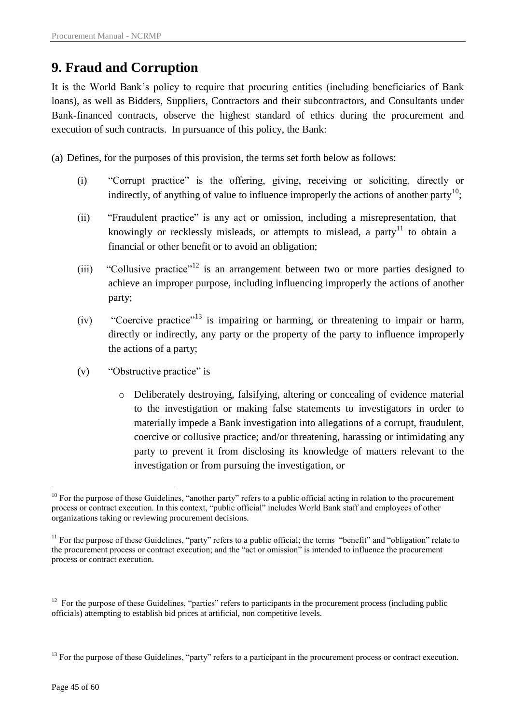# <span id="page-44-0"></span>**9. Fraud and Corruption**

It is the World Bank"s policy to require that procuring entities (including beneficiaries of Bank loans), as well as Bidders, Suppliers, Contractors and their subcontractors, and Consultants under Bank-financed contracts, observe the highest standard of ethics during the procurement and execution of such contracts. In pursuance of this policy, the Bank:

(a) Defines, for the purposes of this provision, the terms set forth below as follows:

- (i) "Corrupt practice" is the offering, giving, receiving or soliciting, directly or indirectly, of anything of value to influence improperly the actions of another party<sup>10</sup>;
- (ii) "Fraudulent practice" is any act or omission, including a misrepresentation, that knowingly or recklessly misleads, or attempts to mislead, a party<sup>11</sup> to obtain a financial or other benefit or to avoid an obligation;
- (iii) "Collusive practice"<sup>12</sup> is an arrangement between two or more parties designed to achieve an improper purpose, including influencing improperly the actions of another party;
- (iv) "Coercive practice"<sup>13</sup> is impairing or harming, or threatening to impair or harm, directly or indirectly, any party or the property of the party to influence improperly the actions of a party;
- (v) "Obstructive practice" is
	- o Deliberately destroying, falsifying, altering or concealing of evidence material to the investigation or making false statements to investigators in order to materially impede a Bank investigation into allegations of a corrupt, fraudulent, coercive or collusive practice; and/or threatening, harassing or intimidating any party to prevent it from disclosing its knowledge of matters relevant to the investigation or from pursuing the investigation, or

<sup>1</sup>  $10$  For the purpose of these Guidelines, "another party" refers to a public official acting in relation to the procurement process or contract execution. In this context, "public official" includes World Bank staff and employees of other organizations taking or reviewing procurement decisions.

 $11$  For the purpose of these Guidelines, "party" refers to a public official; the terms "benefit" and "obligation" relate to the procurement process or contract execution; and the "act or omission" is intended to influence the procurement process or contract execution.

<sup>&</sup>lt;sup>12</sup> For the purpose of these Guidelines, "parties" refers to participants in the procurement process (including public officials) attempting to establish bid prices at artificial, non competitive levels.

<sup>&</sup>lt;sup>13</sup> For the purpose of these Guidelines, "party" refers to a participant in the procurement process or contract execution.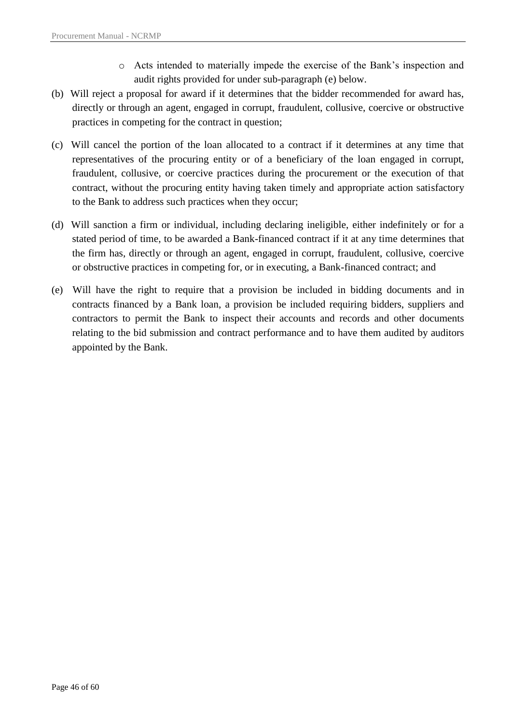- o Acts intended to materially impede the exercise of the Bank"s inspection and audit rights provided for under sub-paragraph (e) below.
- (b) Will reject a proposal for award if it determines that the bidder recommended for award has, directly or through an agent, engaged in corrupt, fraudulent, collusive, coercive or obstructive practices in competing for the contract in question;
- (c) Will cancel the portion of the loan allocated to a contract if it determines at any time that representatives of the procuring entity or of a beneficiary of the loan engaged in corrupt, fraudulent, collusive, or coercive practices during the procurement or the execution of that contract, without the procuring entity having taken timely and appropriate action satisfactory to the Bank to address such practices when they occur;
- (d) Will sanction a firm or individual, including declaring ineligible, either indefinitely or for a stated period of time, to be awarded a Bank-financed contract if it at any time determines that the firm has, directly or through an agent, engaged in corrupt, fraudulent, collusive, coercive or obstructive practices in competing for, or in executing, a Bank-financed contract; and
- (e) Will have the right to require that a provision be included in bidding documents and in contracts financed by a Bank loan, a provision be included requiring bidders, suppliers and contractors to permit the Bank to inspect their accounts and records and other documents relating to the bid submission and contract performance and to have them audited by auditors appointed by the Bank.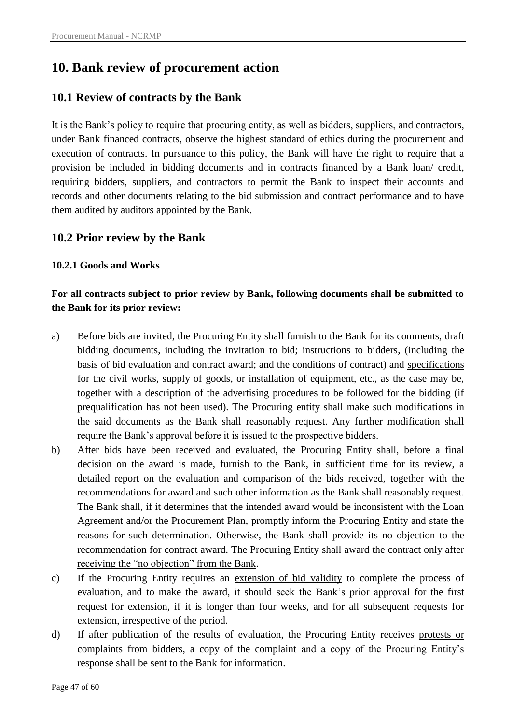# <span id="page-46-0"></span>**10. Bank review of procurement action**

## <span id="page-46-1"></span>**10.1 Review of contracts by the Bank**

It is the Bank"s policy to require that procuring entity, as well as bidders, suppliers, and contractors, under Bank financed contracts, observe the highest standard of ethics during the procurement and execution of contracts. In pursuance to this policy, the Bank will have the right to require that a provision be included in bidding documents and in contracts financed by a Bank loan/ credit, requiring bidders, suppliers, and contractors to permit the Bank to inspect their accounts and records and other documents relating to the bid submission and contract performance and to have them audited by auditors appointed by the Bank.

## <span id="page-46-2"></span>**10.2 Prior review by the Bank**

### <span id="page-46-3"></span>**10.2.1 Goods and Works**

## **For all contracts subject to prior review by Bank, following documents shall be submitted to the Bank for its prior review:**

- a) Before bids are invited, the Procuring Entity shall furnish to the Bank for its comments, draft bidding documents, including the invitation to bid; instructions to bidders, (including the basis of bid evaluation and contract award; and the conditions of contract) and specifications for the civil works, supply of goods, or installation of equipment, etc., as the case may be, together with a description of the advertising procedures to be followed for the bidding (if prequalification has not been used). The Procuring entity shall make such modifications in the said documents as the Bank shall reasonably request. Any further modification shall require the Bank"s approval before it is issued to the prospective bidders.
- b) After bids have been received and evaluated, the Procuring Entity shall, before a final decision on the award is made, furnish to the Bank, in sufficient time for its review, a detailed report on the evaluation and comparison of the bids received, together with the recommendations for award and such other information as the Bank shall reasonably request. The Bank shall, if it determines that the intended award would be inconsistent with the Loan Agreement and/or the Procurement Plan, promptly inform the Procuring Entity and state the reasons for such determination. Otherwise, the Bank shall provide its no objection to the recommendation for contract award. The Procuring Entity shall award the contract only after receiving the "no objection" from the Bank.
- c) If the Procuring Entity requires an extension of bid validity to complete the process of evaluation, and to make the award, it should seek the Bank"s prior approval for the first request for extension, if it is longer than four weeks, and for all subsequent requests for extension, irrespective of the period.
- d) If after publication of the results of evaluation, the Procuring Entity receives protests or complaints from bidders, a copy of the complaint and a copy of the Procuring Entity's response shall be sent to the Bank for information.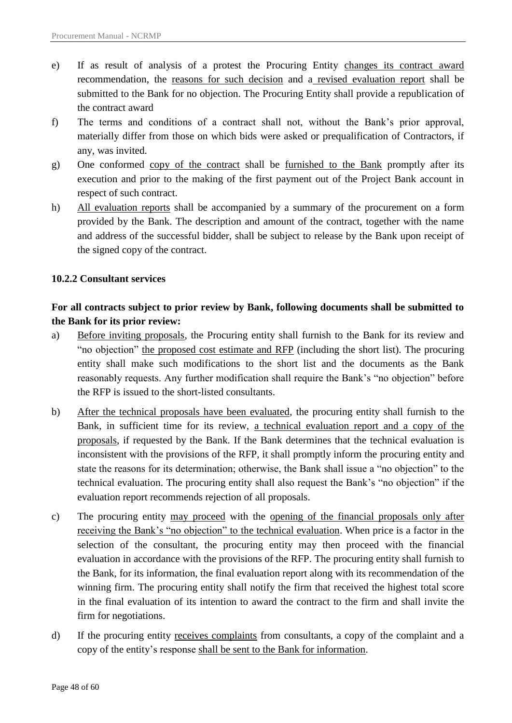- e) If as result of analysis of a protest the Procuring Entity changes its contract award recommendation, the reasons for such decision and a revised evaluation report shall be submitted to the Bank for no objection. The Procuring Entity shall provide a republication of the contract award
- f) The terms and conditions of a contract shall not, without the Bank"s prior approval, materially differ from those on which bids were asked or prequalification of Contractors, if any, was invited.
- g) One conformed copy of the contract shall be furnished to the Bank promptly after its execution and prior to the making of the first payment out of the Project Bank account in respect of such contract.
- h) All evaluation reports shall be accompanied by a summary of the procurement on a form provided by the Bank. The description and amount of the contract, together with the name and address of the successful bidder, shall be subject to release by the Bank upon receipt of the signed copy of the contract.

#### <span id="page-47-0"></span>**10.2.2 Consultant services**

## **For all contracts subject to prior review by Bank, following documents shall be submitted to the Bank for its prior review:**

- a) Before inviting proposals, the Procuring entity shall furnish to the Bank for its review and "no objection" the proposed cost estimate and RFP (including the short list). The procuring entity shall make such modifications to the short list and the documents as the Bank reasonably requests. Any further modification shall require the Bank"s "no objection" before the RFP is issued to the short-listed consultants.
- b) After the technical proposals have been evaluated, the procuring entity shall furnish to the Bank, in sufficient time for its review, a technical evaluation report and a copy of the proposals, if requested by the Bank. If the Bank determines that the technical evaluation is inconsistent with the provisions of the RFP, it shall promptly inform the procuring entity and state the reasons for its determination; otherwise, the Bank shall issue a "no objection" to the technical evaluation. The procuring entity shall also request the Bank"s "no objection" if the evaluation report recommends rejection of all proposals.
- c) The procuring entity may proceed with the opening of the financial proposals only after receiving the Bank"s "no objection" to the technical evaluation. When price is a factor in the selection of the consultant, the procuring entity may then proceed with the financial evaluation in accordance with the provisions of the RFP. The procuring entity shall furnish to the Bank, for its information, the final evaluation report along with its recommendation of the winning firm. The procuring entity shall notify the firm that received the highest total score in the final evaluation of its intention to award the contract to the firm and shall invite the firm for negotiations.
- d) If the procuring entity receives complaints from consultants, a copy of the complaint and a copy of the entity"s response shall be sent to the Bank for information.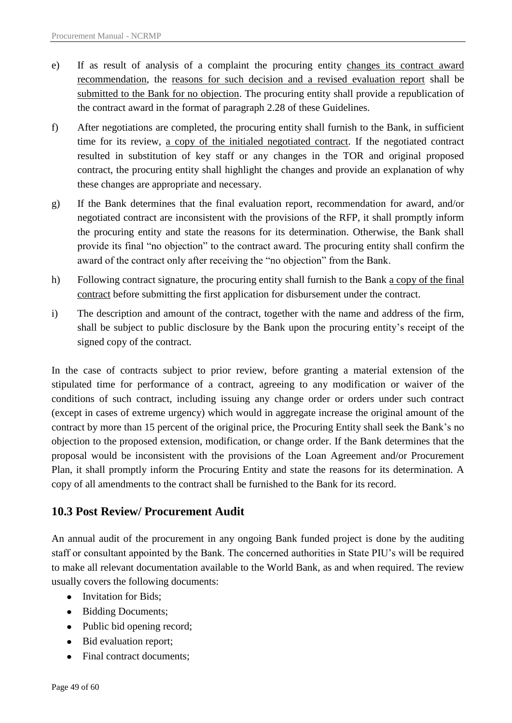- e) If as result of analysis of a complaint the procuring entity changes its contract award recommendation, the reasons for such decision and a revised evaluation report shall be submitted to the Bank for no objection. The procuring entity shall provide a republication of the contract award in the format of paragraph 2.28 of these Guidelines.
- f) After negotiations are completed, the procuring entity shall furnish to the Bank, in sufficient time for its review, a copy of the initialed negotiated contract. If the negotiated contract resulted in substitution of key staff or any changes in the TOR and original proposed contract, the procuring entity shall highlight the changes and provide an explanation of why these changes are appropriate and necessary.
- g) If the Bank determines that the final evaluation report, recommendation for award, and/or negotiated contract are inconsistent with the provisions of the RFP, it shall promptly inform the procuring entity and state the reasons for its determination. Otherwise, the Bank shall provide its final "no objection" to the contract award. The procuring entity shall confirm the award of the contract only after receiving the "no objection" from the Bank.
- h) Following contract signature, the procuring entity shall furnish to the Bank a copy of the final contract before submitting the first application for disbursement under the contract.
- i) The description and amount of the contract, together with the name and address of the firm, shall be subject to public disclosure by the Bank upon the procuring entity"s receipt of the signed copy of the contract.

In the case of contracts subject to prior review, before granting a material extension of the stipulated time for performance of a contract, agreeing to any modification or waiver of the conditions of such contract, including issuing any change order or orders under such contract (except in cases of extreme urgency) which would in aggregate increase the original amount of the contract by more than 15 percent of the original price, the Procuring Entity shall seek the Bank"s no objection to the proposed extension, modification, or change order. If the Bank determines that the proposal would be inconsistent with the provisions of the Loan Agreement and/or Procurement Plan, it shall promptly inform the Procuring Entity and state the reasons for its determination. A copy of all amendments to the contract shall be furnished to the Bank for its record.

## <span id="page-48-0"></span>**10.3 Post Review/ Procurement Audit**

An annual audit of the procurement in any ongoing Bank funded project is done by the auditing staff or consultant appointed by the Bank. The concerned authorities in State PIU"s will be required to make all relevant documentation available to the World Bank, as and when required. The review usually covers the following documents:

- Invitation for Bids;
- Bidding Documents;
- Public bid opening record;
- Bid evaluation report;
- Final contract documents;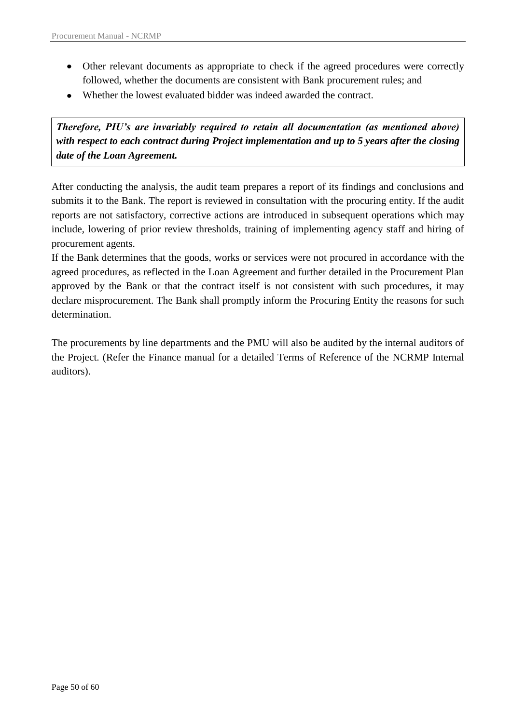- Other relevant documents as appropriate to check if the agreed procedures were correctly followed, whether the documents are consistent with Bank procurement rules; and
- Whether the lowest evaluated bidder was indeed awarded the contract.

*Therefore, PIU's are invariably required to retain all documentation (as mentioned above) with respect to each contract during Project implementation and up to 5 years after the closing date of the Loan Agreement.*

After conducting the analysis, the audit team prepares a report of its findings and conclusions and submits it to the Bank. The report is reviewed in consultation with the procuring entity. If the audit reports are not satisfactory, corrective actions are introduced in subsequent operations which may include, lowering of prior review thresholds, training of implementing agency staff and hiring of procurement agents.

If the Bank determines that the goods, works or services were not procured in accordance with the agreed procedures, as reflected in the Loan Agreement and further detailed in the Procurement Plan approved by the Bank or that the contract itself is not consistent with such procedures, it may declare misprocurement. The Bank shall promptly inform the Procuring Entity the reasons for such determination.

The procurements by line departments and the PMU will also be audited by the internal auditors of the Project. (Refer the Finance manual for a detailed Terms of Reference of the NCRMP Internal auditors).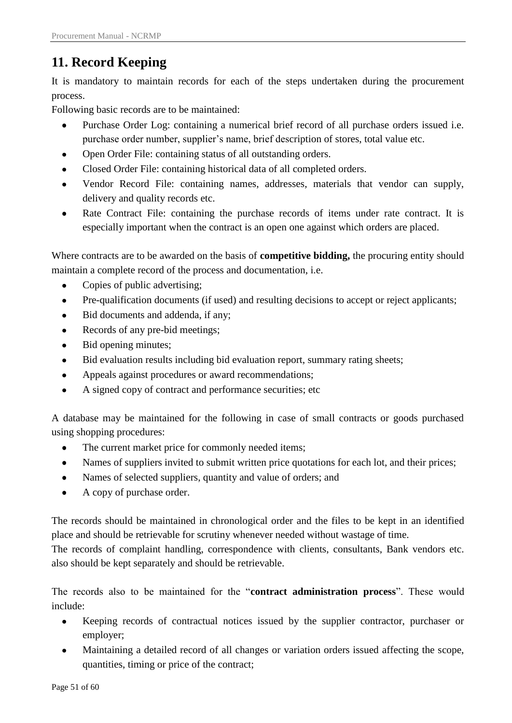# <span id="page-50-0"></span>**11. Record Keeping**

It is mandatory to maintain records for each of the steps undertaken during the procurement process.

Following basic records are to be maintained:

- Purchase Order Log: containing a numerical brief record of all purchase orders issued i.e. purchase order number, supplier's name, brief description of stores, total value etc.
- Open Order File: containing status of all outstanding orders.
- Closed Order File: containing historical data of all completed orders.  $\bullet$
- Vendor Record File: containing names, addresses, materials that vendor can supply, delivery and quality records etc.
- Rate Contract File: containing the purchase records of items under rate contract. It is especially important when the contract is an open one against which orders are placed.

Where contracts are to be awarded on the basis of **competitive bidding,** the procuring entity should maintain a complete record of the process and documentation, i.e.

- Copies of public advertising;  $\bullet$
- Pre-qualification documents (if used) and resulting decisions to accept or reject applicants;  $\bullet$
- Bid documents and addenda, if any;  $\bullet$
- Records of any pre-bid meetings;  $\bullet$
- Bid opening minutes;  $\bullet$
- Bid evaluation results including bid evaluation report, summary rating sheets;  $\bullet$
- Appeals against procedures or award recommendations;  $\bullet$
- A signed copy of contract and performance securities; etc  $\bullet$

A database may be maintained for the following in case of small contracts or goods purchased using shopping procedures:

- $\bullet$ The current market price for commonly needed items;
- Names of suppliers invited to submit written price quotations for each lot, and their prices;
- $\bullet$ Names of selected suppliers, quantity and value of orders; and
- $\bullet$ A copy of purchase order.

The records should be maintained in chronological order and the files to be kept in an identified place and should be retrievable for scrutiny whenever needed without wastage of time.

The records of complaint handling, correspondence with clients, consultants, Bank vendors etc. also should be kept separately and should be retrievable.

The records also to be maintained for the "**contract administration process**". These would include:

- Keeping records of contractual notices issued by the supplier contractor, purchaser or  $\bullet$ employer;
- Maintaining a detailed record of all changes or variation orders issued affecting the scope,  $\bullet$ quantities, timing or price of the contract;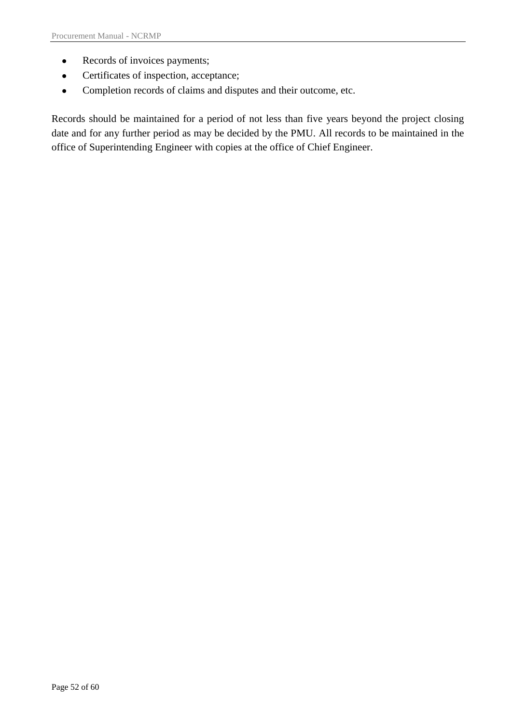- $\bullet$ Records of invoices payments;
- Certificates of inspection, acceptance;  $\bullet$
- Completion records of claims and disputes and their outcome, etc.  $\bullet$

Records should be maintained for a period of not less than five years beyond the project closing date and for any further period as may be decided by the PMU. All records to be maintained in the office of Superintending Engineer with copies at the office of Chief Engineer.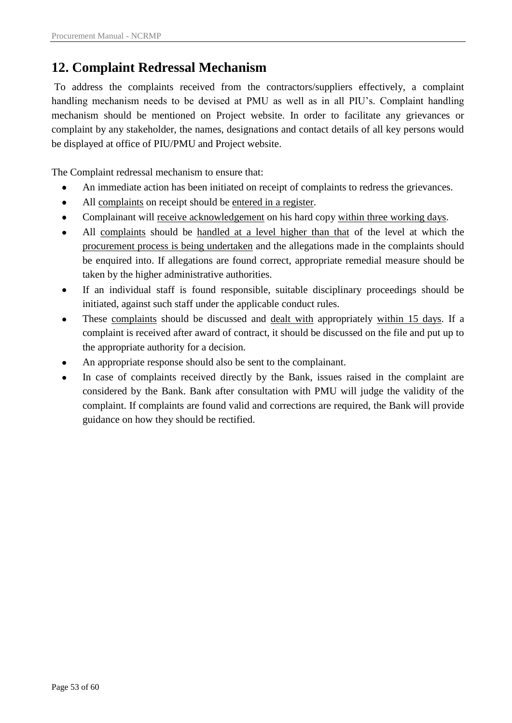# <span id="page-52-0"></span>**12. Complaint Redressal Mechanism**

To address the complaints received from the contractors/suppliers effectively, a complaint handling mechanism needs to be devised at PMU as well as in all PIU"s. Complaint handling mechanism should be mentioned on Project website. In order to facilitate any grievances or complaint by any stakeholder, the names, designations and contact details of all key persons would be displayed at office of PIU/PMU and Project website.

The Complaint redressal mechanism to ensure that:

- An immediate action has been initiated on receipt of complaints to redress the grievances.
- All complaints on receipt should be entered in a register.
- Complainant will receive acknowledgement on his hard copy within three working days.  $\bullet$
- All complaints should be handled at a level higher than that of the level at which the procurement process is being undertaken and the allegations made in the complaints should be enquired into. If allegations are found correct, appropriate remedial measure should be taken by the higher administrative authorities.
- If an individual staff is found responsible, suitable disciplinary proceedings should be initiated, against such staff under the applicable conduct rules.
- These complaints should be discussed and dealt with appropriately within 15 days. If a complaint is received after award of contract, it should be discussed on the file and put up to the appropriate authority for a decision.
- An appropriate response should also be sent to the complainant.
- In case of complaints received directly by the Bank, issues raised in the complaint are considered by the Bank. Bank after consultation with PMU will judge the validity of the complaint. If complaints are found valid and corrections are required, the Bank will provide guidance on how they should be rectified.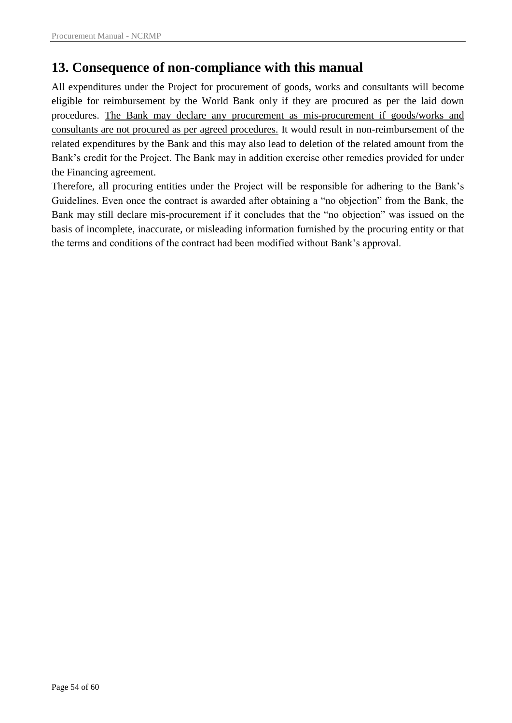# <span id="page-53-0"></span>**13. Consequence of non-compliance with this manual**

All expenditures under the Project for procurement of goods, works and consultants will become eligible for reimbursement by the World Bank only if they are procured as per the laid down procedures. The Bank may declare any procurement as mis-procurement if goods/works and consultants are not procured as per agreed procedures. It would result in non-reimbursement of the related expenditures by the Bank and this may also lead to deletion of the related amount from the Bank"s credit for the Project. The Bank may in addition exercise other remedies provided for under the Financing agreement.

Therefore, all procuring entities under the Project will be responsible for adhering to the Bank"s Guidelines. Even once the contract is awarded after obtaining a "no objection" from the Bank, the Bank may still declare mis-procurement if it concludes that the "no objection" was issued on the basis of incomplete, inaccurate, or misleading information furnished by the procuring entity or that the terms and conditions of the contract had been modified without Bank"s approval.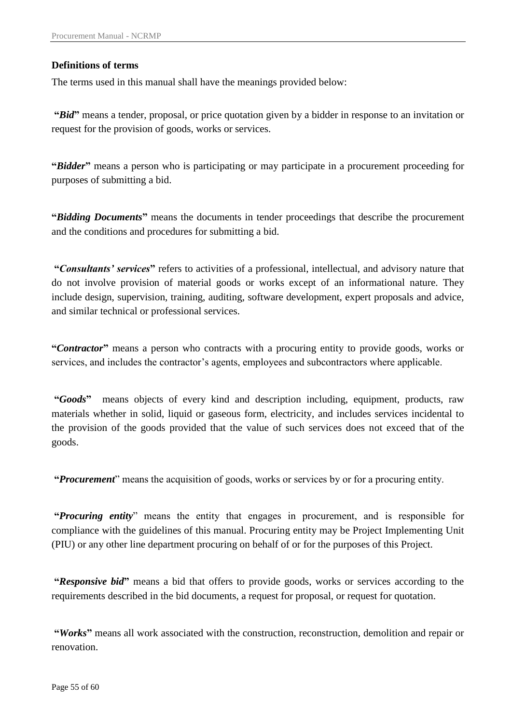#### <span id="page-54-0"></span>**Definitions of terms**

The terms used in this manual shall have the meanings provided below:

**"***Bid***"** means a tender, proposal, or price quotation given by a bidder in response to an invitation or request for the provision of goods, works or services.

**"***Bidder***"** means a person who is participating or may participate in a procurement proceeding for purposes of submitting a bid.

**"***Bidding Documents***"** means the documents in tender proceedings that describe the procurement and the conditions and procedures for submitting a bid.

**"***Consultants' services***"** refers to activities of a professional, intellectual, and advisory nature that do not involve provision of material goods or works except of an informational nature. They include design, supervision, training, auditing, software development, expert proposals and advice, and similar technical or professional services.

**"***Contractor***"** means a person who contracts with a procuring entity to provide goods, works or services, and includes the contractor's agents, employees and subcontractors where applicable.

**"***Goods***"** means objects of every kind and description including, equipment, products, raw materials whether in solid, liquid or gaseous form, electricity, and includes services incidental to the provision of the goods provided that the value of such services does not exceed that of the goods.

**"***Procurement*" means the acquisition of goods, works or services by or for a procuring entity.

**"***Procuring entity*" means the entity that engages in procurement, and is responsible for compliance with the guidelines of this manual. Procuring entity may be Project Implementing Unit (PIU) or any other line department procuring on behalf of or for the purposes of this Project.

**"***Responsive bid***"** means a bid that offers to provide goods, works or services according to the requirements described in the bid documents, a request for proposal, or request for quotation.

**"***Works***"** means all work associated with the construction, reconstruction, demolition and repair or renovation.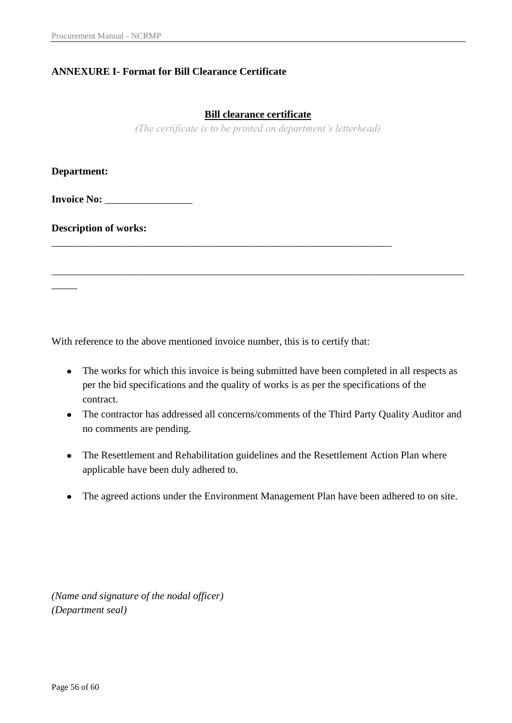### <span id="page-55-0"></span>**ANNEXURE I- Format for Bill Clearance Certificate**

#### **Bill clearance certificate**

*(The certificate is to be printed on department's letterhead)*

**Department:** 

 $\overline{\phantom{a}}$ 

**Invoice No:** \_\_\_\_\_\_\_\_\_\_\_\_\_\_\_\_\_

**Description of works:** 

With reference to the above mentioned invoice number, this is to certify that:

\_\_\_\_\_\_\_\_\_\_\_\_\_\_\_\_\_\_\_\_\_\_\_\_\_\_\_\_\_\_\_\_\_\_\_\_\_\_\_\_\_\_\_\_\_\_\_\_\_\_\_\_\_\_\_\_\_\_\_\_\_\_\_\_\_\_

• The works for which this invoice is being submitted have been completed in all respects as per the bid specifications and the quality of works is as per the specifications of the contract.

\_\_\_\_\_\_\_\_\_\_\_\_\_\_\_\_\_\_\_\_\_\_\_\_\_\_\_\_\_\_\_\_\_\_\_\_\_\_\_\_\_\_\_\_\_\_\_\_\_\_\_\_\_\_\_\_\_\_\_\_\_\_\_\_\_\_\_\_\_\_\_\_\_\_\_\_\_\_\_\_

- The contractor has addressed all concerns/comments of the Third Party Quality Auditor and no comments are pending.
- The Resettlement and Rehabilitation guidelines and the Resettlement Action Plan where applicable have been duly adhered to.
- The agreed actions under the Environment Management Plan have been adhered to on site.

*(Name and signature of the nodal officer) (Department seal)*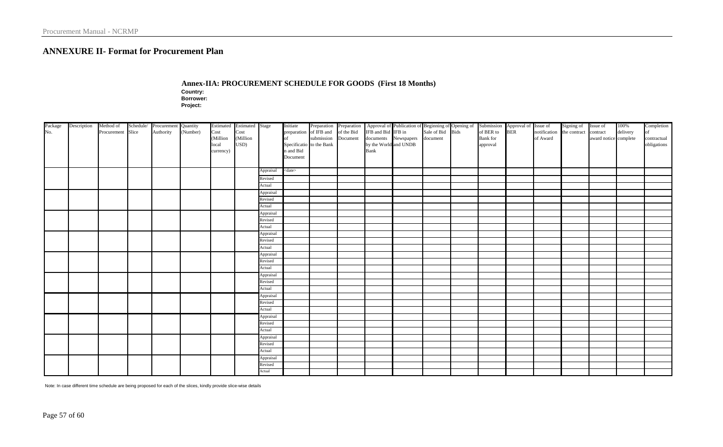#### **ANNEXURE II- Format for Procurement Plan**

**Annex-IIA: PROCUREMENT SCHEDULE FOR GOODS (First 18 Months) Country:**

**Borrower:**

**Project:** 

<span id="page-56-0"></span>

|                | Description | Method of         | Schedule/ | Procurement Quantity |          |           | Estimated Estimated Stage |           | Initiate                 | Preparation Preparation |            |                       | Approval of Publication of Beginning of Opening of |                  |                                                               |                                    | Signing of Issue of |                       | 100%     | Completion                 |
|----------------|-------------|-------------------|-----------|----------------------|----------|-----------|---------------------------|-----------|--------------------------|-------------------------|------------|-----------------------|----------------------------------------------------|------------------|---------------------------------------------------------------|------------------------------------|---------------------|-----------------------|----------|----------------------------|
| Package<br>No. |             | Procurement Slice |           | Authority            | (Number) | Cost      | Cost                      |           | preparation of IFB and   |                         | of the Bid | IFB and Bid IFB in    |                                                    | Sale of Bid Bids | Submission Approval of Issue of<br>of BER to BER notification | notification the contract contract |                     |                       | delivery | $\circ$ f                  |
|                |             |                   |           |                      |          | (Million  | (Million                  |           | <b>of</b>                | submission Document     |            |                       | documents Newspapers document                      |                  | <b>Bank</b> for                                               | of Award                           |                     | award notice complete |          |                            |
|                |             |                   |           |                      |          | local     | USD)                      |           | Specificatio to the Bank |                         |            | by the World and UNDB |                                                    |                  | approval                                                      |                                    |                     |                       |          | contractual<br>obligations |
|                |             |                   |           |                      |          | currency) |                           |           | n and Bid                |                         |            | <b>Bank</b>           |                                                    |                  |                                                               |                                    |                     |                       |          |                            |
|                |             |                   |           |                      |          |           |                           |           | Document                 |                         |            |                       |                                                    |                  |                                                               |                                    |                     |                       |          |                            |
|                |             |                   |           |                      |          |           |                           |           |                          |                         |            |                       |                                                    |                  |                                                               |                                    |                     |                       |          |                            |
|                |             |                   |           |                      |          |           |                           | Appraisal | $<$ date $>$             |                         |            |                       |                                                    |                  |                                                               |                                    |                     |                       |          |                            |
|                |             |                   |           |                      |          |           |                           | Revised   |                          |                         |            |                       |                                                    |                  |                                                               |                                    |                     |                       |          |                            |
|                |             |                   |           |                      |          |           |                           | Actual    |                          |                         |            |                       |                                                    |                  |                                                               |                                    |                     |                       |          |                            |
|                |             |                   |           |                      |          |           |                           | Appraisal |                          |                         |            |                       |                                                    |                  |                                                               |                                    |                     |                       |          |                            |
|                |             |                   |           |                      |          |           |                           | Revised   |                          |                         |            |                       |                                                    |                  |                                                               |                                    |                     |                       |          |                            |
|                |             |                   |           |                      |          |           |                           | Actual    |                          |                         |            |                       |                                                    |                  |                                                               |                                    |                     |                       |          |                            |
|                |             |                   |           |                      |          |           |                           | Appraisal |                          |                         |            |                       |                                                    |                  |                                                               |                                    |                     |                       |          |                            |
|                |             |                   |           |                      |          |           |                           | Revised   |                          |                         |            |                       |                                                    |                  |                                                               |                                    |                     |                       |          |                            |
|                |             |                   |           |                      |          |           |                           | Actual    |                          |                         |            |                       |                                                    |                  |                                                               |                                    |                     |                       |          |                            |
|                |             |                   |           |                      |          |           |                           | Appraisal |                          |                         |            |                       |                                                    |                  |                                                               |                                    |                     |                       |          |                            |
|                |             |                   |           |                      |          |           |                           | Revised   |                          |                         |            |                       |                                                    |                  |                                                               |                                    |                     |                       |          |                            |
|                |             |                   |           |                      |          |           |                           | Actual    |                          |                         |            |                       |                                                    |                  |                                                               |                                    |                     |                       |          |                            |
|                |             |                   |           |                      |          |           |                           | Appraisal |                          |                         |            |                       |                                                    |                  |                                                               |                                    |                     |                       |          |                            |
|                |             |                   |           |                      |          |           |                           | Revised   |                          |                         |            |                       |                                                    |                  |                                                               |                                    |                     |                       |          |                            |
|                |             |                   |           |                      |          |           |                           | Actual    |                          |                         |            |                       |                                                    |                  |                                                               |                                    |                     |                       |          |                            |
|                |             |                   |           |                      |          |           |                           | Appraisal |                          |                         |            |                       |                                                    |                  |                                                               |                                    |                     |                       |          |                            |
|                |             |                   |           |                      |          |           |                           | Revised   |                          |                         |            |                       |                                                    |                  |                                                               |                                    |                     |                       |          |                            |
|                |             |                   |           |                      |          |           |                           | Actual    |                          |                         |            |                       |                                                    |                  |                                                               |                                    |                     |                       |          |                            |
|                |             |                   |           |                      |          |           |                           | Appraisal |                          |                         |            |                       |                                                    |                  |                                                               |                                    |                     |                       |          |                            |
|                |             |                   |           |                      |          |           |                           | Revised   |                          |                         |            |                       |                                                    |                  |                                                               |                                    |                     |                       |          |                            |
|                |             |                   |           |                      |          |           |                           | Actual    |                          |                         |            |                       |                                                    |                  |                                                               |                                    |                     |                       |          |                            |
|                |             |                   |           |                      |          |           |                           | Appraisal |                          |                         |            |                       |                                                    |                  |                                                               |                                    |                     |                       |          |                            |
|                |             |                   |           |                      |          |           |                           | Revised   |                          |                         |            |                       |                                                    |                  |                                                               |                                    |                     |                       |          |                            |
|                |             |                   |           |                      |          |           |                           | Actual    |                          |                         |            |                       |                                                    |                  |                                                               |                                    |                     |                       |          |                            |
|                |             |                   |           |                      |          |           |                           | Appraisal |                          |                         |            |                       |                                                    |                  |                                                               |                                    |                     |                       |          |                            |
|                |             |                   |           | Revised              |          |           |                           |           |                          |                         |            |                       |                                                    |                  |                                                               |                                    |                     |                       |          |                            |
|                |             |                   |           |                      |          |           |                           | Actual    |                          |                         |            |                       |                                                    |                  |                                                               |                                    |                     |                       |          |                            |
|                |             |                   |           |                      |          |           |                           | Appraisal |                          |                         |            |                       |                                                    |                  |                                                               |                                    |                     |                       |          |                            |
|                |             |                   |           |                      |          |           |                           | Revised   |                          |                         |            |                       |                                                    |                  |                                                               |                                    |                     |                       |          |                            |
|                |             |                   |           |                      |          |           |                           | Actual    |                          |                         |            |                       |                                                    |                  |                                                               |                                    |                     |                       |          |                            |

Note: In case different time schedule are being proposed for each of the slices, kindly provide slice-wise details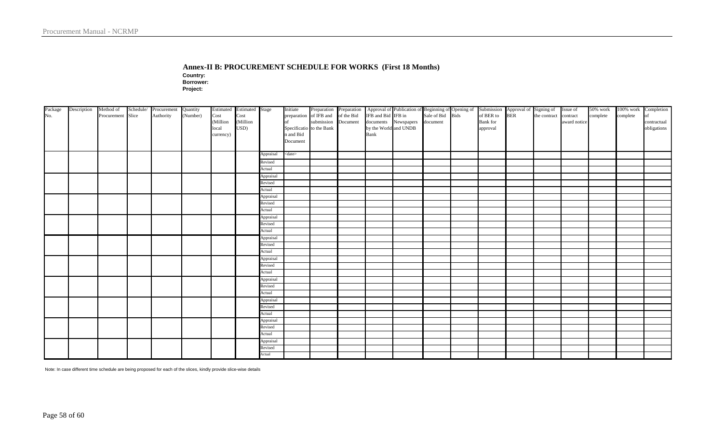#### **Annex-II B: PROCUREMENT SCHEDULE FOR WORKS (First 18 Months)**

**Country:**

**Borrower: Project:** 

| Package | Description | Method of         | Schedule/ Procurement | Quantity |           | Estimated Estimated Stage |           | Initiate      | Preparation Preparation                                     |                       |                                                                                                                                                              |  |                 |  |              | 50% work | 100% work Completion |             |
|---------|-------------|-------------------|-----------------------|----------|-----------|---------------------------|-----------|---------------|-------------------------------------------------------------|-----------------------|--------------------------------------------------------------------------------------------------------------------------------------------------------------|--|-----------------|--|--------------|----------|----------------------|-------------|
| No.     |             | Procurement Slice | Authority             | (Number) | Cost      | Cost                      |           |               |                                                             |                       | Approval of Publication of Beginning of Opening of Submission Approval of Signing of Issue of IFB and Bid IFB in Sale of Bid Bids of BER to BER the contract |  |                 |  |              | complete | complete             | $\log$      |
|         |             |                   |                       |          | (Million  | (Million                  |           |               | preparation of IFB and of the Bid<br>of submission Document |                       | documents Newspapers document                                                                                                                                |  | <b>Bank</b> for |  | award notice |          |                      | contractual |
|         |             |                   |                       |          | local     | USD)                      |           |               | Specificatio to the Bank                                    | by the World and UNDB |                                                                                                                                                              |  | approval        |  |              |          |                      | obligations |
|         |             |                   |                       |          | currency) |                           |           | n and Bid     |                                                             | Bank                  |                                                                                                                                                              |  |                 |  |              |          |                      |             |
|         |             |                   |                       |          |           |                           |           | Document      |                                                             |                       |                                                                                                                                                              |  |                 |  |              |          |                      |             |
|         |             |                   |                       |          |           |                           |           |               |                                                             |                       |                                                                                                                                                              |  |                 |  |              |          |                      |             |
|         |             |                   |                       |          |           |                           | Appraisal | <date></date> |                                                             |                       |                                                                                                                                                              |  |                 |  |              |          |                      |             |
|         |             |                   |                       |          |           |                           | Revised   |               |                                                             |                       |                                                                                                                                                              |  |                 |  |              |          |                      |             |
|         |             |                   |                       |          |           |                           | Actual    |               |                                                             |                       |                                                                                                                                                              |  |                 |  |              |          |                      |             |
|         |             |                   |                       |          |           |                           | Appraisal |               |                                                             |                       |                                                                                                                                                              |  |                 |  |              |          |                      |             |
|         |             |                   |                       |          |           |                           | Revised   |               |                                                             |                       |                                                                                                                                                              |  |                 |  |              |          |                      |             |
|         |             |                   |                       |          |           |                           | Actual    |               |                                                             |                       |                                                                                                                                                              |  |                 |  |              |          |                      |             |
|         |             |                   |                       |          |           |                           | Appraisal |               |                                                             |                       |                                                                                                                                                              |  |                 |  |              |          |                      |             |
|         |             |                   |                       |          |           |                           | Revised   |               |                                                             |                       |                                                                                                                                                              |  |                 |  |              |          |                      |             |
|         |             |                   |                       |          |           |                           | Actual    |               |                                                             |                       |                                                                                                                                                              |  |                 |  |              |          |                      |             |
|         |             |                   |                       |          |           |                           | Appraisal |               |                                                             |                       |                                                                                                                                                              |  |                 |  |              |          |                      |             |
|         |             |                   |                       |          |           |                           | Revised   |               |                                                             |                       |                                                                                                                                                              |  |                 |  |              |          |                      |             |
|         |             |                   |                       |          |           |                           | Actual    |               |                                                             |                       |                                                                                                                                                              |  |                 |  |              |          |                      |             |
|         |             |                   |                       |          |           |                           | Appraisal |               |                                                             |                       |                                                                                                                                                              |  |                 |  |              |          |                      |             |
|         |             |                   |                       |          |           |                           | Revised   |               |                                                             |                       |                                                                                                                                                              |  |                 |  |              |          |                      |             |
|         |             |                   |                       |          |           |                           | Actual    |               |                                                             |                       |                                                                                                                                                              |  |                 |  |              |          |                      |             |
|         |             |                   |                       |          |           |                           | Appraisal |               |                                                             |                       |                                                                                                                                                              |  |                 |  |              |          |                      |             |
|         |             |                   |                       |          |           |                           | Revised   |               |                                                             |                       |                                                                                                                                                              |  |                 |  |              |          |                      |             |
|         |             |                   |                       |          |           |                           | Actual    |               |                                                             |                       |                                                                                                                                                              |  |                 |  |              |          |                      |             |
|         |             |                   |                       |          |           |                           | Appraisal |               |                                                             |                       |                                                                                                                                                              |  |                 |  |              |          |                      |             |
|         |             |                   |                       |          |           |                           | Revised   |               |                                                             |                       |                                                                                                                                                              |  |                 |  |              |          |                      |             |
|         |             |                   |                       |          |           |                           | Actual    |               |                                                             |                       |                                                                                                                                                              |  |                 |  |              |          |                      |             |
|         |             |                   |                       |          |           |                           | Appraisal |               |                                                             |                       |                                                                                                                                                              |  |                 |  |              |          |                      |             |
|         |             |                   |                       |          |           |                           | Revised   |               |                                                             |                       |                                                                                                                                                              |  |                 |  |              |          |                      |             |
|         |             |                   |                       |          |           |                           | Actual    |               |                                                             |                       |                                                                                                                                                              |  |                 |  |              |          |                      |             |
|         |             |                   |                       |          |           |                           | Appraisal |               |                                                             |                       |                                                                                                                                                              |  |                 |  |              |          |                      |             |
|         |             |                   |                       |          |           |                           | Revised   |               |                                                             |                       |                                                                                                                                                              |  |                 |  |              |          |                      |             |
|         |             |                   |                       |          |           |                           | Actual    |               |                                                             |                       |                                                                                                                                                              |  |                 |  |              |          |                      |             |
|         |             |                   |                       |          |           |                           | Appraisal |               |                                                             |                       |                                                                                                                                                              |  |                 |  |              |          |                      |             |
|         |             |                   |                       |          |           |                           | Revised   |               |                                                             |                       |                                                                                                                                                              |  |                 |  |              |          |                      |             |
|         |             |                   |                       |          |           |                           | Actual    |               |                                                             |                       |                                                                                                                                                              |  |                 |  |              |          |                      |             |

Note: In case different time schedule are being proposed for each of the slices, kindly provide slice-wise details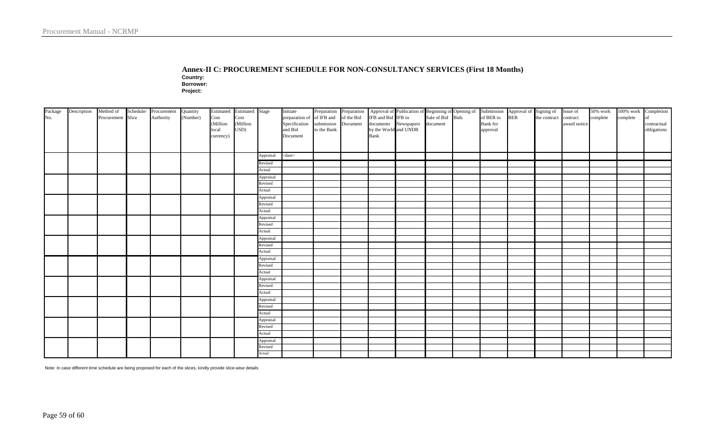#### **Annex-II C: PROCUREMENT SCHEDULE FOR NON-CONSULTANCY SERVICES (First 18 Months)**

**Country:**

**Borrower:**

**Project:** 

| Package<br>No. | Description | Method of<br>Procurement Slice |  | Schedule/ Procurement Quantity<br>Authority | (Number) | Estimated Estimated Stage<br>Cost<br>(Million | Cost<br>(Million |                      | Initiate<br>preparation of of IFB and of the Bid<br>Specification submission |             | Document |                               | Preparation Preparation Approval of Publication of Beginning of Opening of Submission Approval of Signing of Issue of of IFB and Bid IFB in Sale of Bid Bids of BER to BER the contract contract<br>documents Newspapers document |  | <b>Bank</b> for |  | award notice | complete | 50% work 100% work Completion<br>complete | of<br>contractual |
|----------------|-------------|--------------------------------|--|---------------------------------------------|----------|-----------------------------------------------|------------------|----------------------|------------------------------------------------------------------------------|-------------|----------|-------------------------------|-----------------------------------------------------------------------------------------------------------------------------------------------------------------------------------------------------------------------------------|--|-----------------|--|--------------|----------|-------------------------------------------|-------------------|
|                |             |                                |  |                                             |          | local<br>currency)                            | USD)             |                      | and Bid<br>Document                                                          | to the Bank |          | by the World and UNDB<br>Bank |                                                                                                                                                                                                                                   |  | approval        |  |              |          |                                           | obligations       |
|                |             |                                |  |                                             |          |                                               |                  |                      |                                                                              |             |          |                               |                                                                                                                                                                                                                                   |  |                 |  |              |          |                                           |                   |
|                |             |                                |  |                                             |          |                                               |                  | Appraisal            | $<$ date $>$                                                                 |             |          |                               |                                                                                                                                                                                                                                   |  |                 |  |              |          |                                           |                   |
|                |             |                                |  |                                             |          |                                               | Revised          |                      |                                                                              |             |          |                               |                                                                                                                                                                                                                                   |  |                 |  |              |          |                                           |                   |
|                |             |                                |  |                                             |          |                                               |                  | Actual               |                                                                              |             |          |                               |                                                                                                                                                                                                                                   |  |                 |  |              |          |                                           |                   |
|                |             |                                |  |                                             |          |                                               |                  | Appraisal            |                                                                              |             |          |                               |                                                                                                                                                                                                                                   |  |                 |  |              |          |                                           |                   |
|                |             |                                |  |                                             |          |                                               |                  | Revised              |                                                                              |             |          |                               |                                                                                                                                                                                                                                   |  |                 |  |              |          |                                           |                   |
|                |             |                                |  |                                             |          |                                               |                  | Actual               |                                                                              |             |          |                               |                                                                                                                                                                                                                                   |  |                 |  |              |          |                                           |                   |
|                |             |                                |  |                                             |          |                                               |                  | Appraisal            |                                                                              |             |          |                               |                                                                                                                                                                                                                                   |  |                 |  |              |          |                                           |                   |
|                |             |                                |  |                                             |          |                                               |                  | Revised<br>Actual    |                                                                              |             |          |                               |                                                                                                                                                                                                                                   |  |                 |  |              |          |                                           |                   |
|                |             |                                |  |                                             |          |                                               |                  |                      |                                                                              |             |          |                               |                                                                                                                                                                                                                                   |  |                 |  |              |          |                                           |                   |
|                |             |                                |  |                                             |          |                                               |                  | Appraisal<br>Revised |                                                                              |             |          |                               |                                                                                                                                                                                                                                   |  |                 |  |              |          |                                           |                   |
|                |             |                                |  |                                             |          |                                               |                  | Actual               |                                                                              |             |          |                               |                                                                                                                                                                                                                                   |  |                 |  |              |          |                                           |                   |
|                |             |                                |  |                                             |          |                                               |                  | Appraisal            |                                                                              |             |          |                               |                                                                                                                                                                                                                                   |  |                 |  |              |          |                                           |                   |
|                |             |                                |  |                                             |          |                                               |                  | Revised              |                                                                              |             |          |                               |                                                                                                                                                                                                                                   |  |                 |  |              |          |                                           |                   |
|                |             |                                |  |                                             |          |                                               |                  | Actual               |                                                                              |             |          |                               |                                                                                                                                                                                                                                   |  |                 |  |              |          |                                           |                   |
|                |             |                                |  |                                             |          |                                               |                  | Appraisal            |                                                                              |             |          |                               |                                                                                                                                                                                                                                   |  |                 |  |              |          |                                           |                   |
|                |             |                                |  |                                             |          |                                               |                  | Revised              |                                                                              |             |          |                               |                                                                                                                                                                                                                                   |  |                 |  |              |          |                                           |                   |
|                |             |                                |  |                                             |          |                                               |                  | Actual               |                                                                              |             |          |                               |                                                                                                                                                                                                                                   |  |                 |  |              |          |                                           |                   |
|                |             |                                |  |                                             |          |                                               |                  | Appraisal            |                                                                              |             |          |                               |                                                                                                                                                                                                                                   |  |                 |  |              |          |                                           |                   |
|                |             |                                |  |                                             |          |                                               |                  | Revised              |                                                                              |             |          |                               |                                                                                                                                                                                                                                   |  |                 |  |              |          |                                           |                   |
|                |             |                                |  |                                             |          |                                               |                  | Actual               |                                                                              |             |          |                               |                                                                                                                                                                                                                                   |  |                 |  |              |          |                                           |                   |
|                |             |                                |  |                                             |          |                                               |                  | Appraisal            |                                                                              |             |          |                               |                                                                                                                                                                                                                                   |  |                 |  |              |          |                                           |                   |
|                |             |                                |  |                                             |          |                                               |                  | Revised              |                                                                              |             |          |                               |                                                                                                                                                                                                                                   |  |                 |  |              |          |                                           |                   |
|                |             |                                |  |                                             |          |                                               |                  | Actual               |                                                                              |             |          |                               |                                                                                                                                                                                                                                   |  |                 |  |              |          |                                           |                   |
|                |             |                                |  |                                             |          |                                               |                  | Appraisal            |                                                                              |             |          |                               |                                                                                                                                                                                                                                   |  |                 |  |              |          |                                           |                   |
|                |             |                                |  |                                             |          |                                               |                  | Revised<br>Actual    |                                                                              |             |          |                               |                                                                                                                                                                                                                                   |  |                 |  |              |          |                                           |                   |
|                |             |                                |  |                                             |          |                                               |                  |                      |                                                                              |             |          |                               |                                                                                                                                                                                                                                   |  |                 |  |              |          |                                           |                   |
|                |             |                                |  |                                             |          |                                               |                  | Appraisal<br>Revised |                                                                              |             |          |                               |                                                                                                                                                                                                                                   |  |                 |  |              |          |                                           |                   |
|                |             |                                |  |                                             |          |                                               |                  | Actual               |                                                                              |             |          |                               |                                                                                                                                                                                                                                   |  |                 |  |              |          |                                           |                   |
|                |             |                                |  |                                             |          |                                               |                  |                      |                                                                              |             |          |                               |                                                                                                                                                                                                                                   |  |                 |  |              |          |                                           |                   |

Note: In case different time schedule are being proposed for each of the slices, kindly provide slice-wise details